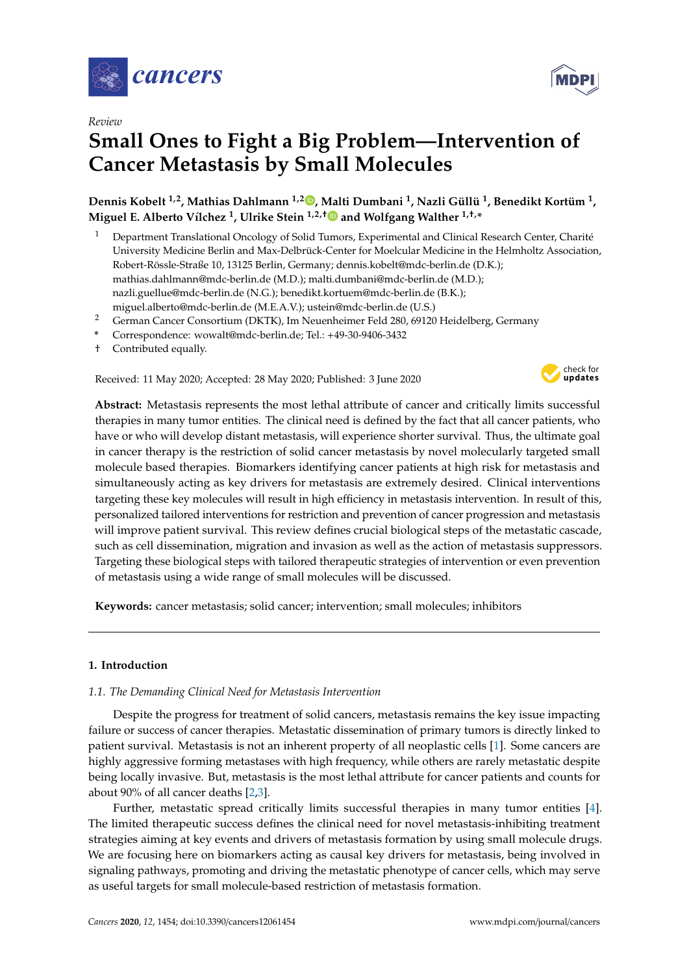

*Review*

# **Small Ones to Fight a Big Problem—Intervention of Cancer Metastasis by Small Molecules**

**Dennis Kobelt 1,2, Mathias Dahlmann 1,[2](https://orcid.org/0000-0002-0036-5283) , Malti Dumbani <sup>1</sup> , Nazli Güllü <sup>1</sup> , Benedikt Kortüm <sup>1</sup> , Miguel E. Alberto Vílchez <sup>1</sup> , Ulrike Stein 1,2,**[†](https://orcid.org/0000-0001-7006-282X) **and Wolfgang Walther 1,**†**, \***

- <sup>1</sup> Department Translational Oncology of Solid Tumors, Experimental and Clinical Research Center, Charité University Medicine Berlin and Max-Delbrück-Center for Moelcular Medicine in the Helmholtz Association, Robert-Rössle-Straße 10, 13125 Berlin, Germany; dennis.kobelt@mdc-berlin.de (D.K.); mathias.dahlmann@mdc-berlin.de (M.D.); malti.dumbani@mdc-berlin.de (M.D.); nazli.guellue@mdc-berlin.de (N.G.); benedikt.kortuem@mdc-berlin.de (B.K.); miguel.alberto@mdc-berlin.de (M.E.A.V.); ustein@mdc-berlin.de (U.S.)
- <sup>2</sup> German Cancer Consortium (DKTK), Im Neuenheimer Feld 280, 69120 Heidelberg, Germany
- **\*** Correspondence: wowalt@mdc-berlin.de; Tel.: +49-30-9406-3432
- † Contributed equally.

Received: 11 May 2020; Accepted: 28 May 2020; Published: 3 June 2020



**Abstract:** Metastasis represents the most lethal attribute of cancer and critically limits successful therapies in many tumor entities. The clinical need is defined by the fact that all cancer patients, who have or who will develop distant metastasis, will experience shorter survival. Thus, the ultimate goal in cancer therapy is the restriction of solid cancer metastasis by novel molecularly targeted small molecule based therapies. Biomarkers identifying cancer patients at high risk for metastasis and simultaneously acting as key drivers for metastasis are extremely desired. Clinical interventions targeting these key molecules will result in high efficiency in metastasis intervention. In result of this, personalized tailored interventions for restriction and prevention of cancer progression and metastasis will improve patient survival. This review defines crucial biological steps of the metastatic cascade, such as cell dissemination, migration and invasion as well as the action of metastasis suppressors. Targeting these biological steps with tailored therapeutic strategies of intervention or even prevention of metastasis using a wide range of small molecules will be discussed.

**Keywords:** cancer metastasis; solid cancer; intervention; small molecules; inhibitors

# **1. Introduction**

# *1.1. The Demanding Clinical Need for Metastasis Intervention*

Despite the progress for treatment of solid cancers, metastasis remains the key issue impacting failure or success of cancer therapies. Metastatic dissemination of primary tumors is directly linked to patient survival. Metastasis is not an inherent property of all neoplastic cells [\[1\]](#page-13-0). Some cancers are highly aggressive forming metastases with high frequency, while others are rarely metastatic despite being locally invasive. But, metastasis is the most lethal attribute for cancer patients and counts for about 90% of all cancer deaths [\[2](#page-13-1)[,3\]](#page-13-2).

Further, metastatic spread critically limits successful therapies in many tumor entities [\[4\]](#page-13-3). The limited therapeutic success defines the clinical need for novel metastasis-inhibiting treatment strategies aiming at key events and drivers of metastasis formation by using small molecule drugs. We are focusing here on biomarkers acting as causal key drivers for metastasis, being involved in signaling pathways, promoting and driving the metastatic phenotype of cancer cells, which may serve as useful targets for small molecule-based restriction of metastasis formation.

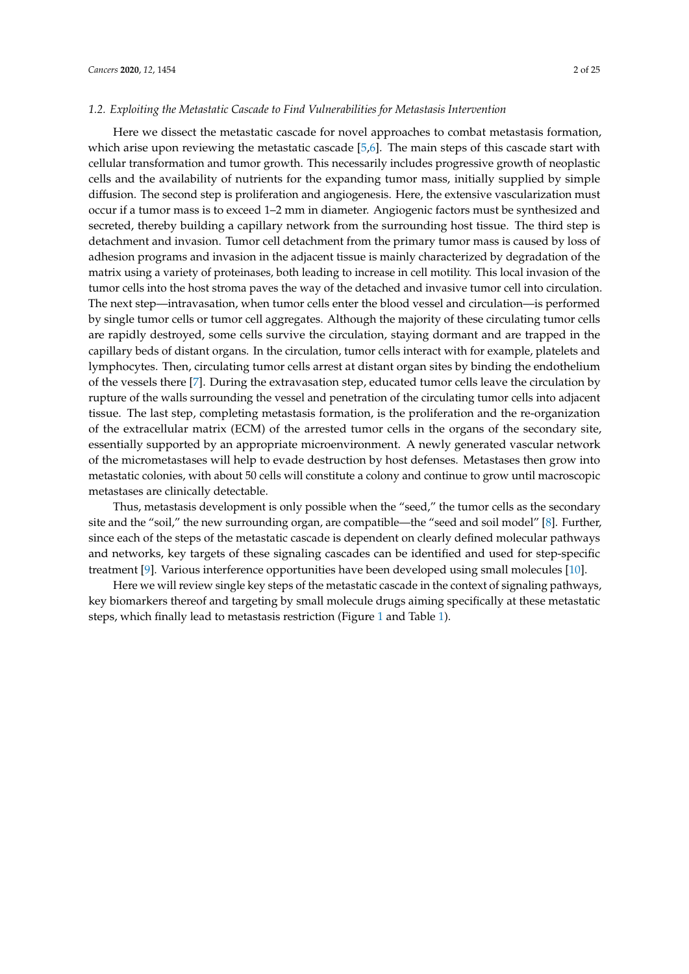#### *1.2. Exploiting the Metastatic Cascade to Find Vulnerabilities for Metastasis Intervention*

Here we dissect the metastatic cascade for novel approaches to combat metastasis formation, which arise upon reviewing the metastatic cascade [\[5,](#page-13-4)[6\]](#page-13-5). The main steps of this cascade start with cellular transformation and tumor growth. This necessarily includes progressive growth of neoplastic cells and the availability of nutrients for the expanding tumor mass, initially supplied by simple diffusion. The second step is proliferation and angiogenesis. Here, the extensive vascularization must occur if a tumor mass is to exceed 1–2 mm in diameter. Angiogenic factors must be synthesized and secreted, thereby building a capillary network from the surrounding host tissue. The third step is detachment and invasion. Tumor cell detachment from the primary tumor mass is caused by loss of adhesion programs and invasion in the adjacent tissue is mainly characterized by degradation of the matrix using a variety of proteinases, both leading to increase in cell motility. This local invasion of the tumor cells into the host stroma paves the way of the detached and invasive tumor cell into circulation. The next step—intravasation, when tumor cells enter the blood vessel and circulation—is performed by single tumor cells or tumor cell aggregates. Although the majority of these circulating tumor cells are rapidly destroyed, some cells survive the circulation, staying dormant and are trapped in the capillary beds of distant organs. In the circulation, tumor cells interact with for example, platelets and lymphocytes. Then, circulating tumor cells arrest at distant organ sites by binding the endothelium of the vessels there [\[7\]](#page-13-6). During the extravasation step, educated tumor cells leave the circulation by rupture of the walls surrounding the vessel and penetration of the circulating tumor cells into adjacent tissue. The last step, completing metastasis formation, is the proliferation and the re-organization of the extracellular matrix (ECM) of the arrested tumor cells in the organs of the secondary site, essentially supported by an appropriate microenvironment. A newly generated vascular network of the micrometastases will help to evade destruction by host defenses. Metastases then grow into metastatic colonies, with about 50 cells will constitute a colony and continue to grow until macroscopic metastases are clinically detectable.

Thus, metastasis development is only possible when the "seed," the tumor cells as the secondary site and the "soil," the new surrounding organ, are compatible—the "seed and soil model" [\[8\]](#page-13-7). Further, since each of the steps of the metastatic cascade is dependent on clearly defined molecular pathways and networks, key targets of these signaling cascades can be identified and used for step-specific treatment [\[9\]](#page-13-8). Various interference opportunities have been developed using small molecules [\[10\]](#page-13-9).

Here we will review single key steps of the metastatic cascade in the context of signaling pathways, key biomarkers thereof and targeting by small molecule drugs aiming specifically at these metastatic steps, which finally lead to metastasis restriction (Figure [1](#page-2-0) and Table [1\)](#page-4-0).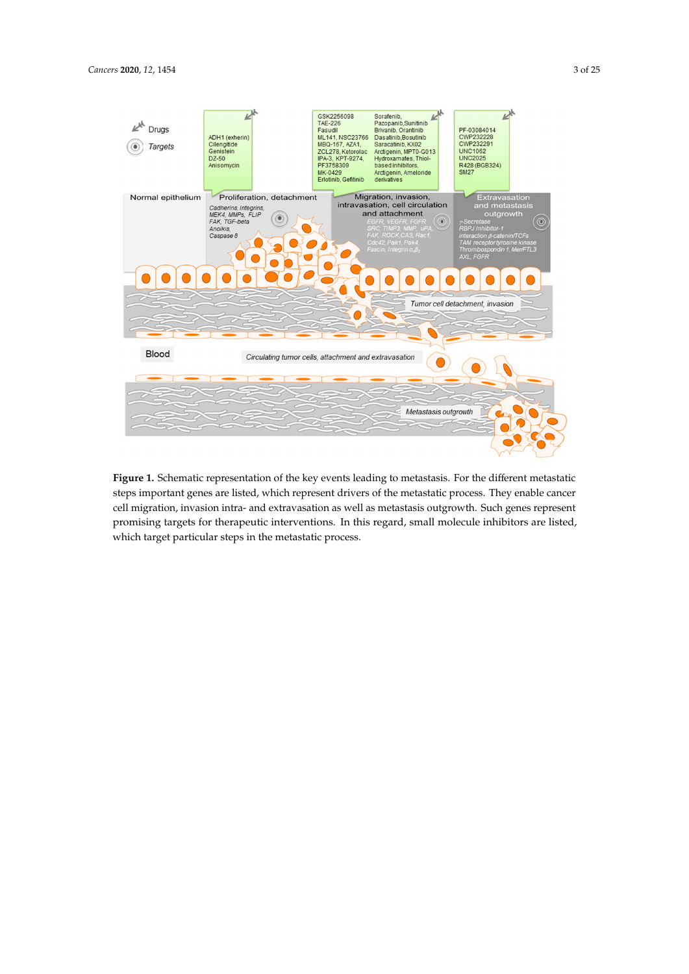<span id="page-2-0"></span>

**Figure 1.** Schematic representation of the key events leading to metastasis. For the different metastatic **Figure 1.** Schematic representation of the key events leading to metastasis. For the different metastatic steps important genes are listed, which represent drivers of the metastatic process. They enable cancer steps important genes are listed, which represent drivers of the metastatic process. They enable cancer cell migration, invasion intra- and extravasation as well as metastasis outgrowth. Such genes cell migration, invasion intra- and extravasation as well as metastasis outgrowth. Such genes represent promising targets for therapeutic interventions. In this regard, small molecule inhibitors are listed, which target particular steps in the metastatic process.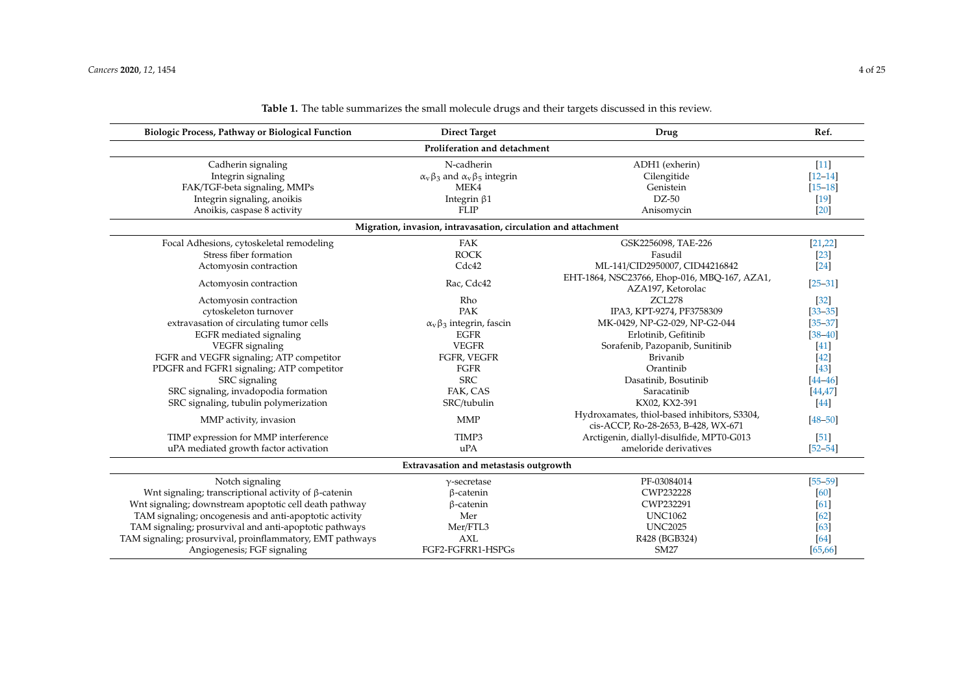| Biologic Process, Pathway or Biological Function            | <b>Direct Target</b>                                           | Drug                                                                                | Ref.        |
|-------------------------------------------------------------|----------------------------------------------------------------|-------------------------------------------------------------------------------------|-------------|
|                                                             | Proliferation and detachment                                   |                                                                                     |             |
| Cadherin signaling                                          | N-cadherin                                                     | ADH1 (exherin)                                                                      | $[11]$      |
| Integrin signaling                                          | $\alpha_v \beta_3$ and $\alpha_v \beta_5$ integrin             | Cilengitide                                                                         | $[12 - 14]$ |
| FAK/TGF-beta signaling, MMPs                                | MEK4                                                           | Genistein                                                                           | $[15 - 18]$ |
| Integrin signaling, anoikis                                 | Integrin $\beta$ 1                                             | $DZ-50$                                                                             | $[19]$      |
| Anoikis, caspase 8 activity                                 | <b>FLIP</b>                                                    | Anisomycin                                                                          | [20]        |
|                                                             | Migration, invasion, intravasation, circulation and attachment |                                                                                     |             |
| Focal Adhesions, cytoskeletal remodeling                    | <b>FAK</b>                                                     | GSK2256098, TAE-226                                                                 | [21, 22]    |
| Stress fiber formation                                      | <b>ROCK</b>                                                    | Fasudil                                                                             | $[23]$      |
| Actomyosin contraction                                      | Cdc42                                                          | ML-141/CID2950007, CID44216842                                                      | $[24]$      |
| Actomyosin contraction                                      | Rac, Cdc42                                                     | EHT-1864, NSC23766, Ehop-016, MBQ-167, AZA1,<br>AZA197, Ketorolac                   | $[25 - 31]$ |
| Actomyosin contraction                                      | Rho                                                            | ZCI 278                                                                             | $[32]$      |
| cytoskeleton turnover                                       | PAK                                                            | IPA3, KPT-9274, PF3758309                                                           | $[33 - 35]$ |
| extravasation of circulating tumor cells                    | $\alpha$ <sub>v</sub> $\beta$ <sub>3</sub> integrin, fascin    | MK-0429, NP-G2-029, NP-G2-044                                                       | $[35 - 37]$ |
| EGFR mediated signaling                                     | <b>EGFR</b>                                                    | Erlotinib, Gefitinib                                                                | $[38 - 40]$ |
| VEGFR signaling                                             | <b>VEGFR</b>                                                   | Sorafenib, Pazopanib, Sunitinib                                                     | [41]        |
| FGFR and VEGFR signaling; ATP competitor                    | FGFR, VEGFR                                                    | Brivanib                                                                            | [42]        |
| PDGFR and FGFR1 signaling; ATP competitor                   | FGFR                                                           | Orantinib                                                                           | [43]        |
| SRC signaling                                               | <b>SRC</b>                                                     | Dasatinib, Bosutinib                                                                | $[44 - 46]$ |
| SRC signaling, invadopodia formation                        | FAK, CAS                                                       | Saracatinib                                                                         | [44, 47]    |
| SRC signaling, tubulin polymerization                       | SRC/tubulin                                                    | KX02, KX2-391                                                                       | [44]        |
| MMP activity, invasion                                      | <b>MMP</b>                                                     | Hydroxamates, thiol-based inhibitors, S3304,<br>cis-ACCP, Ro-28-2653, B-428, WX-671 | $[48 - 50]$ |
| TIMP expression for MMP interference                        | TIMP3                                                          | Arctigenin, diallyl-disulfide, MPT0-G013                                            | $[51]$      |
| uPA mediated growth factor activation                       | uPA                                                            | ameloride derivatives                                                               | $[52 - 54]$ |
|                                                             | Extravasation and metastasis outgrowth                         |                                                                                     |             |
| Notch signaling                                             | $\gamma$ -secretase                                            | PF-03084014                                                                         | $[55 - 59]$ |
| Wnt signaling; transcriptional activity of $\beta$ -catenin | $\beta$ -catenin                                               | CWP232228                                                                           | [60]        |
| Wnt signaling; downstream apoptotic cell death pathway      | $\beta$ -catenin                                               | CWP232291                                                                           | [61]        |
| TAM signaling; oncogenesis and anti-apoptotic activity      | Mer                                                            | <b>UNC1062</b>                                                                      | [62]        |
| TAM signaling; prosurvival and anti-apoptotic pathways      | Mer/FTL3                                                       | <b>UNC2025</b>                                                                      | [63]        |
| TAM signaling; prosurvival, proinflammatory, EMT pathways   | <b>AXL</b>                                                     | R428 (BGB324)                                                                       | [64]        |
| Angiogenesis; FGF signaling                                 | FGF2-FGFRR1-HSPGs                                              | <b>SM27</b>                                                                         | [65, 66]    |

# **Table 1.** The table summarizes the small molecule drugs and their targets discussed in this review.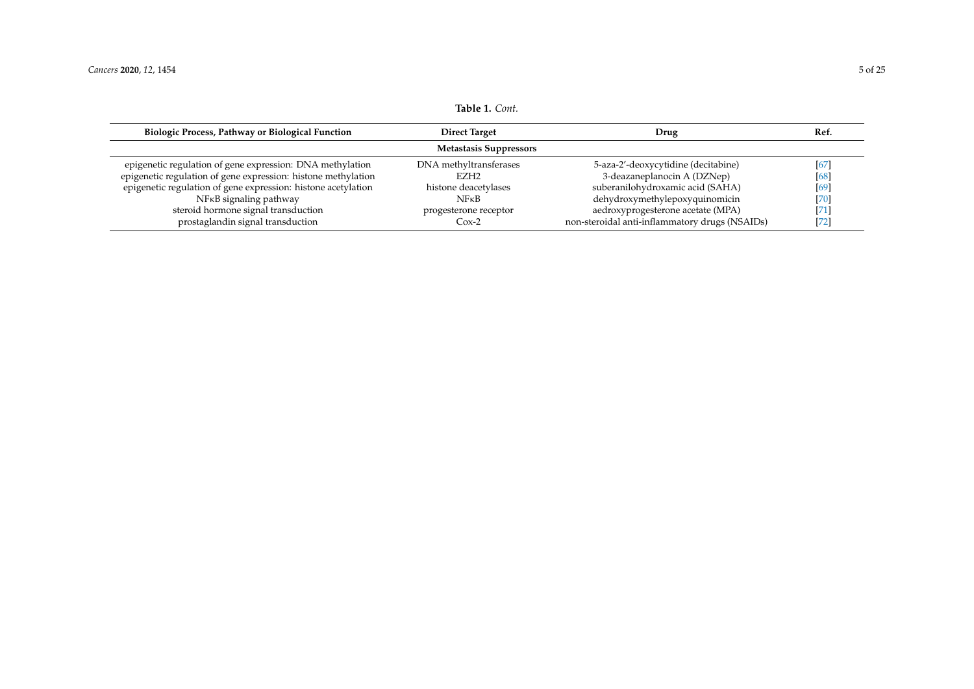<span id="page-4-0"></span> $\overline{a}$ 

| <b>Biologic Process, Pathway or Biological Function</b>       | <b>Direct Target</b>   | Drug                                           | Ref.      |  |
|---------------------------------------------------------------|------------------------|------------------------------------------------|-----------|--|
| <b>Metastasis Suppressors</b>                                 |                        |                                                |           |  |
| epigenetic regulation of gene expression: DNA methylation     | DNA methyltransferases | 5-aza-2'-deoxycytidine (decitabine)            | [67]      |  |
| epigenetic regulation of gene expression: histone methylation | EZH <sub>2</sub>       | 3-deazaneplanocin A (DZNep)                    | [68]      |  |
| epigenetic regulation of gene expression: histone acetylation | histone deacetylases   | suberanilohydroxamic acid (SAHA)               | [69]      |  |
| $N$ $FKB$ signaling pathway                                   | $N$ F <sub>K</sub> B   | dehydroxymethylepoxyquinomicin                 | [70]      |  |
| steroid hormone signal transduction                           | progesterone receptor  | aedroxyprogesterone acetate (MPA)              | <b>71</b> |  |
| prostaglandin signal transduction                             | Cox-2                  | non-steroidal anti-inflammatory drugs (NSAIDs) | [72]      |  |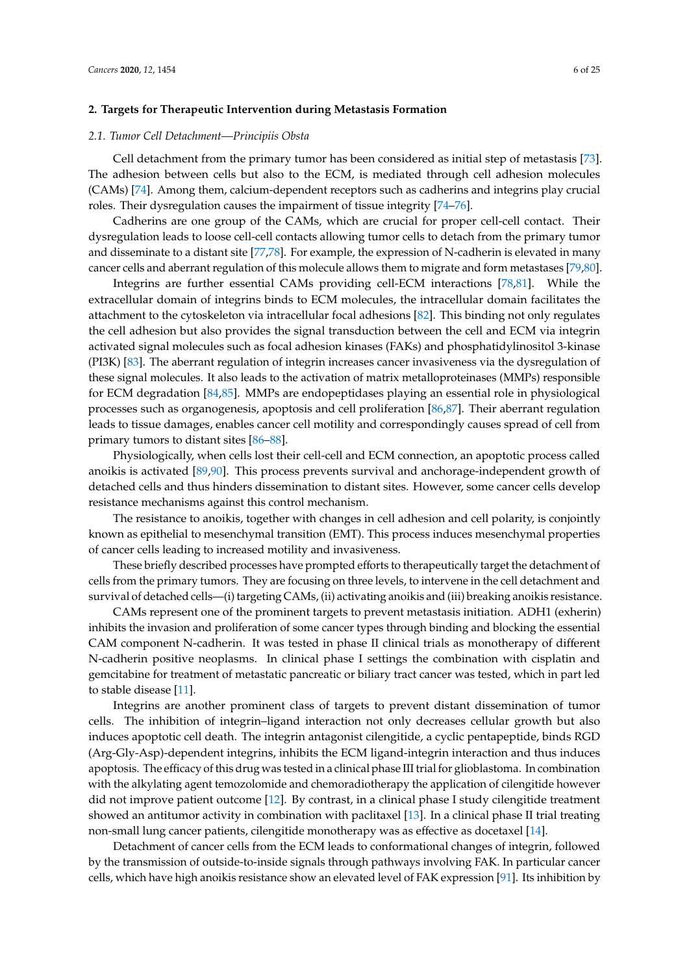# **2. Targets for Therapeutic Intervention during Metastasis Formation**

#### *2.1. Tumor Cell Detachment—Principiis Obsta*

Cell detachment from the primary tumor has been considered as initial step of metastasis [\[73\]](#page-16-14). The adhesion between cells but also to the ECM, is mediated through cell adhesion molecules (CAMs) [\[74\]](#page-16-15). Among them, calcium-dependent receptors such as cadherins and integrins play crucial roles. Their dysregulation causes the impairment of tissue integrity [\[74](#page-16-15)[–76\]](#page-17-0).

Cadherins are one group of the CAMs, which are crucial for proper cell-cell contact. Their dysregulation leads to loose cell-cell contacts allowing tumor cells to detach from the primary tumor and disseminate to a distant site [\[77,](#page-17-1)[78\]](#page-17-2). For example, the expression of N-cadherin is elevated in many cancer cells and aberrant regulation of this molecule allows them to migrate and form metastases [\[79](#page-17-3)[,80\]](#page-17-4).

Integrins are further essential CAMs providing cell-ECM interactions [\[78,](#page-17-2)[81\]](#page-17-5). While the extracellular domain of integrins binds to ECM molecules, the intracellular domain facilitates the attachment to the cytoskeleton via intracellular focal adhesions [\[82\]](#page-17-6). This binding not only regulates the cell adhesion but also provides the signal transduction between the cell and ECM via integrin activated signal molecules such as focal adhesion kinases (FAKs) and phosphatidylinositol 3-kinase (PI3K) [\[83\]](#page-17-7). The aberrant regulation of integrin increases cancer invasiveness via the dysregulation of these signal molecules. It also leads to the activation of matrix metalloproteinases (MMPs) responsible for ECM degradation [\[84,](#page-17-8)[85\]](#page-17-9). MMPs are endopeptidases playing an essential role in physiological processes such as organogenesis, apoptosis and cell proliferation [\[86](#page-17-10)[,87\]](#page-17-11). Their aberrant regulation leads to tissue damages, enables cancer cell motility and correspondingly causes spread of cell from primary tumors to distant sites [\[86](#page-17-10)[–88\]](#page-17-12).

Physiologically, when cells lost their cell-cell and ECM connection, an apoptotic process called anoikis is activated [\[89,](#page-17-13)[90\]](#page-17-14). This process prevents survival and anchorage-independent growth of detached cells and thus hinders dissemination to distant sites. However, some cancer cells develop resistance mechanisms against this control mechanism.

The resistance to anoikis, together with changes in cell adhesion and cell polarity, is conjointly known as epithelial to mesenchymal transition (EMT). This process induces mesenchymal properties of cancer cells leading to increased motility and invasiveness.

These briefly described processes have prompted efforts to therapeutically target the detachment of cells from the primary tumors. They are focusing on three levels, to intervene in the cell detachment and survival of detached cells—(i) targeting CAMs, (ii) activating anoikis and (iii) breaking anoikis resistance.

CAMs represent one of the prominent targets to prevent metastasis initiation. ADH1 (exherin) inhibits the invasion and proliferation of some cancer types through binding and blocking the essential CAM component N-cadherin. It was tested in phase II clinical trials as monotherapy of different N-cadherin positive neoplasms. In clinical phase I settings the combination with cisplatin and gemcitabine for treatment of metastatic pancreatic or biliary tract cancer was tested, which in part led to stable disease [\[11\]](#page-13-15).

Integrins are another prominent class of targets to prevent distant dissemination of tumor cells. The inhibition of integrin–ligand interaction not only decreases cellular growth but also induces apoptotic cell death. The integrin antagonist cilengitide, a cyclic pentapeptide, binds RGD (Arg-Gly-Asp)-dependent integrins, inhibits the ECM ligand-integrin interaction and thus induces apoptosis. The efficacy of this drug was tested in a clinical phase III trial for glioblastoma. In combination with the alkylating agent temozolomide and chemoradiotherapy the application of cilengitide however did not improve patient outcome [\[12\]](#page-13-16). By contrast, in a clinical phase I study cilengitide treatment showed an antitumor activity in combination with paclitaxel [\[13\]](#page-13-17). In a clinical phase II trial treating non-small lung cancer patients, cilengitide monotherapy was as effective as docetaxel [\[14\]](#page-13-18).

Detachment of cancer cells from the ECM leads to conformational changes of integrin, followed by the transmission of outside-to-inside signals through pathways involving FAK. In particular cancer cells, which have high anoikis resistance show an elevated level of FAK expression [\[91\]](#page-17-15). Its inhibition by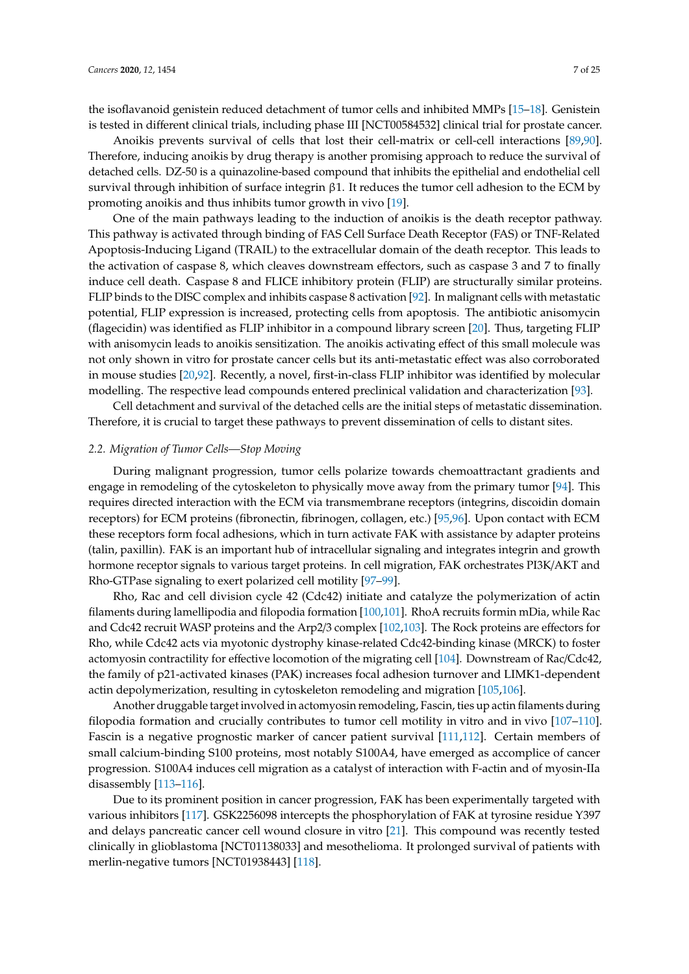the isoflavanoid genistein reduced detachment of tumor cells and inhibited MMPs [\[15–](#page-13-19)[18\]](#page-13-20). Genistein is tested in different clinical trials, including phase III [NCT00584532] clinical trial for prostate cancer.

Anoikis prevents survival of cells that lost their cell-matrix or cell-cell interactions [\[89,](#page-17-13)[90\]](#page-17-14). Therefore, inducing anoikis by drug therapy is another promising approach to reduce the survival of detached cells. DZ-50 is a quinazoline-based compound that inhibits the epithelial and endothelial cell survival through inhibition of surface integrin  $\beta$ 1. It reduces the tumor cell adhesion to the ECM by promoting anoikis and thus inhibits tumor growth in vivo [\[19\]](#page-13-21).

One of the main pathways leading to the induction of anoikis is the death receptor pathway. This pathway is activated through binding of FAS Cell Surface Death Receptor (FAS) or TNF-Related Apoptosis-Inducing Ligand (TRAIL) to the extracellular domain of the death receptor. This leads to the activation of caspase 8, which cleaves downstream effectors, such as caspase 3 and 7 to finally induce cell death. Caspase 8 and FLICE inhibitory protein (FLIP) are structurally similar proteins. FLIP binds to the DISC complex and inhibits caspase 8 activation [\[92\]](#page-17-16). In malignant cells with metastatic potential, FLIP expression is increased, protecting cells from apoptosis. The antibiotic anisomycin (flagecidin) was identified as FLIP inhibitor in a compound library screen [\[20\]](#page-14-11). Thus, targeting FLIP with anisomycin leads to anoikis sensitization. The anoikis activating effect of this small molecule was not only shown in vitro for prostate cancer cells but its anti-metastatic effect was also corroborated in mouse studies [\[20](#page-14-11)[,92\]](#page-17-16). Recently, a novel, first-in-class FLIP inhibitor was identified by molecular modelling. The respective lead compounds entered preclinical validation and characterization [\[93\]](#page-17-17).

Cell detachment and survival of the detached cells are the initial steps of metastatic dissemination. Therefore, it is crucial to target these pathways to prevent dissemination of cells to distant sites.

### *2.2. Migration of Tumor Cells—Stop Moving*

During malignant progression, tumor cells polarize towards chemoattractant gradients and engage in remodeling of the cytoskeleton to physically move away from the primary tumor [\[94\]](#page-17-18). This requires directed interaction with the ECM via transmembrane receptors (integrins, discoidin domain receptors) for ECM proteins (fibronectin, fibrinogen, collagen, etc.) [\[95](#page-17-19)[,96\]](#page-17-20). Upon contact with ECM these receptors form focal adhesions, which in turn activate FAK with assistance by adapter proteins (talin, paxillin). FAK is an important hub of intracellular signaling and integrates integrin and growth hormone receptor signals to various target proteins. In cell migration, FAK orchestrates PI3K/AKT and Rho-GTPase signaling to exert polarized cell motility [\[97](#page-17-21)[–99\]](#page-18-0).

Rho, Rac and cell division cycle 42 (Cdc42) initiate and catalyze the polymerization of actin filaments during lamellipodia and filopodia formation [\[100](#page-18-1)[,101\]](#page-18-2). RhoA recruits formin mDia, while Rac and Cdc42 recruit WASP proteins and the Arp2/3 complex [\[102,](#page-18-3)[103\]](#page-18-4). The Rock proteins are effectors for Rho, while Cdc42 acts via myotonic dystrophy kinase-related Cdc42-binding kinase (MRCK) to foster actomyosin contractility for effective locomotion of the migrating cell [\[104\]](#page-18-5). Downstream of Rac/Cdc42, the family of p21-activated kinases (PAK) increases focal adhesion turnover and LIMK1-dependent actin depolymerization, resulting in cytoskeleton remodeling and migration [\[105](#page-18-6)[,106\]](#page-18-7).

Another druggable target involved in actomyosin remodeling, Fascin, ties up actin filaments during filopodia formation and crucially contributes to tumor cell motility in vitro and in vivo [\[107–](#page-18-8)[110\]](#page-18-9). Fascin is a negative prognostic marker of cancer patient survival [\[111,](#page-18-10)[112\]](#page-18-11). Certain members of small calcium-binding S100 proteins, most notably S100A4, have emerged as accomplice of cancer progression. S100A4 induces cell migration as a catalyst of interaction with F-actin and of myosin-IIa disassembly [\[113](#page-18-12)[–116\]](#page-18-13).

Due to its prominent position in cancer progression, FAK has been experimentally targeted with various inhibitors [\[117\]](#page-18-14). GSK2256098 intercepts the phosphorylation of FAK at tyrosine residue Y397 and delays pancreatic cancer cell wound closure in vitro [\[21\]](#page-14-12). This compound was recently tested clinically in glioblastoma [NCT01138033] and mesothelioma. It prolonged survival of patients with merlin-negative tumors [NCT01938443] [\[118\]](#page-18-15).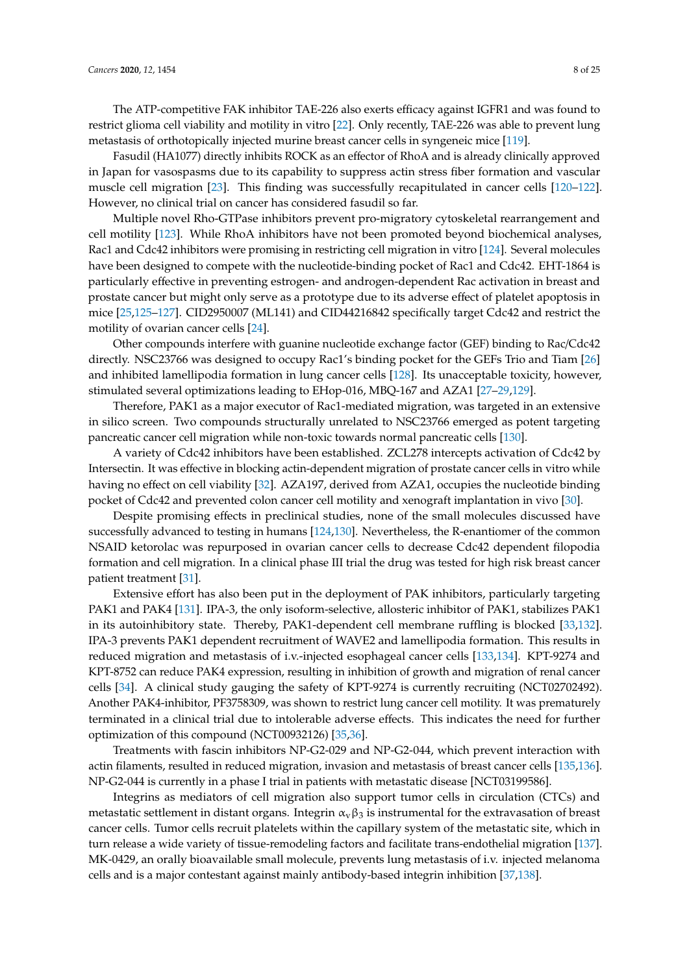The ATP-competitive FAK inhibitor TAE-226 also exerts efficacy against IGFR1 and was found to restrict glioma cell viability and motility in vitro [\[22\]](#page-14-13). Only recently, TAE-226 was able to prevent lung metastasis of orthotopically injected murine breast cancer cells in syngeneic mice [\[119\]](#page-18-16).

Fasudil (HA1077) directly inhibits ROCK as an effector of RhoA and is already clinically approved in Japan for vasospasms due to its capability to suppress actin stress fiber formation and vascular muscle cell migration [\[23\]](#page-14-14). This finding was successfully recapitulated in cancer cells [\[120–](#page-18-17)[122\]](#page-19-0). However, no clinical trial on cancer has considered fasudil so far.

Multiple novel Rho-GTPase inhibitors prevent pro-migratory cytoskeletal rearrangement and cell motility [\[123\]](#page-19-1). While RhoA inhibitors have not been promoted beyond biochemical analyses, Rac1 and Cdc42 inhibitors were promising in restricting cell migration in vitro [\[124\]](#page-19-2). Several molecules have been designed to compete with the nucleotide-binding pocket of Rac1 and Cdc42. EHT-1864 is particularly effective in preventing estrogen- and androgen-dependent Rac activation in breast and prostate cancer but might only serve as a prototype due to its adverse effect of platelet apoptosis in mice [\[25](#page-14-15)[,125](#page-19-3)[–127\]](#page-19-4). CID2950007 (ML141) and CID44216842 specifically target Cdc42 and restrict the motility of ovarian cancer cells [\[24\]](#page-14-16).

Other compounds interfere with guanine nucleotide exchange factor (GEF) binding to Rac/Cdc42 directly. NSC23766 was designed to occupy Rac1's binding pocket for the GEFs Trio and Tiam [\[26\]](#page-14-17) and inhibited lamellipodia formation in lung cancer cells [\[128\]](#page-19-5). Its unacceptable toxicity, however, stimulated several optimizations leading to EHop-016, MBQ-167 and AZA1 [\[27](#page-14-8)[–29,](#page-14-18)[129\]](#page-19-6).

Therefore, PAK1 as a major executor of Rac1-mediated migration, was targeted in an extensive in silico screen. Two compounds structurally unrelated to NSC23766 emerged as potent targeting pancreatic cancer cell migration while non-toxic towards normal pancreatic cells [\[130\]](#page-19-7).

A variety of Cdc42 inhibitors have been established. ZCL278 intercepts activation of Cdc42 by Intersectin. It was effective in blocking actin-dependent migration of prostate cancer cells in vitro while having no effect on cell viability [\[32\]](#page-14-19). AZA197, derived from AZA1, occupies the nucleotide binding pocket of Cdc42 and prevented colon cancer cell motility and xenograft implantation in vivo [\[30\]](#page-14-20).

Despite promising effects in preclinical studies, none of the small molecules discussed have successfully advanced to testing in humans [\[124](#page-19-2)[,130\]](#page-19-7). Nevertheless, the R-enantiomer of the common NSAID ketorolac was repurposed in ovarian cancer cells to decrease Cdc42 dependent filopodia formation and cell migration. In a clinical phase III trial the drug was tested for high risk breast cancer patient treatment [\[31\]](#page-14-21).

Extensive effort has also been put in the deployment of PAK inhibitors, particularly targeting PAK1 and PAK4 [\[131\]](#page-19-8). IPA-3, the only isoform-selective, allosteric inhibitor of PAK1, stabilizes PAK1 in its autoinhibitory state. Thereby, PAK1-dependent cell membrane ruffling is blocked [\[33,](#page-14-22)[132\]](#page-19-9). IPA-3 prevents PAK1 dependent recruitment of WAVE2 and lamellipodia formation. This results in reduced migration and metastasis of i.v.-injected esophageal cancer cells [\[133,](#page-19-10)[134\]](#page-19-11). KPT-9274 and KPT-8752 can reduce PAK4 expression, resulting in inhibition of growth and migration of renal cancer cells [\[34\]](#page-14-23). A clinical study gauging the safety of KPT-9274 is currently recruiting (NCT02702492). Another PAK4-inhibitor, PF3758309, was shown to restrict lung cancer cell motility. It was prematurely terminated in a clinical trial due to intolerable adverse effects. This indicates the need for further optimization of this compound (NCT00932126) [\[35,](#page-14-24)[36\]](#page-14-25).

Treatments with fascin inhibitors NP-G2-029 and NP-G2-044, which prevent interaction with actin filaments, resulted in reduced migration, invasion and metastasis of breast cancer cells [\[135](#page-19-12)[,136\]](#page-19-13). NP-G2-044 is currently in a phase I trial in patients with metastatic disease [NCT03199586].

Integrins as mediators of cell migration also support tumor cells in circulation (CTCs) and metastatic settlement in distant organs. Integrin  $\alpha_v \beta_3$  is instrumental for the extravasation of breast cancer cells. Tumor cells recruit platelets within the capillary system of the metastatic site, which in turn release a wide variety of tissue-remodeling factors and facilitate trans-endothelial migration [\[137\]](#page-19-14). MK-0429, an orally bioavailable small molecule, prevents lung metastasis of i.v. injected melanoma cells and is a major contestant against mainly antibody-based integrin inhibition [\[37,](#page-14-26)[138\]](#page-19-15).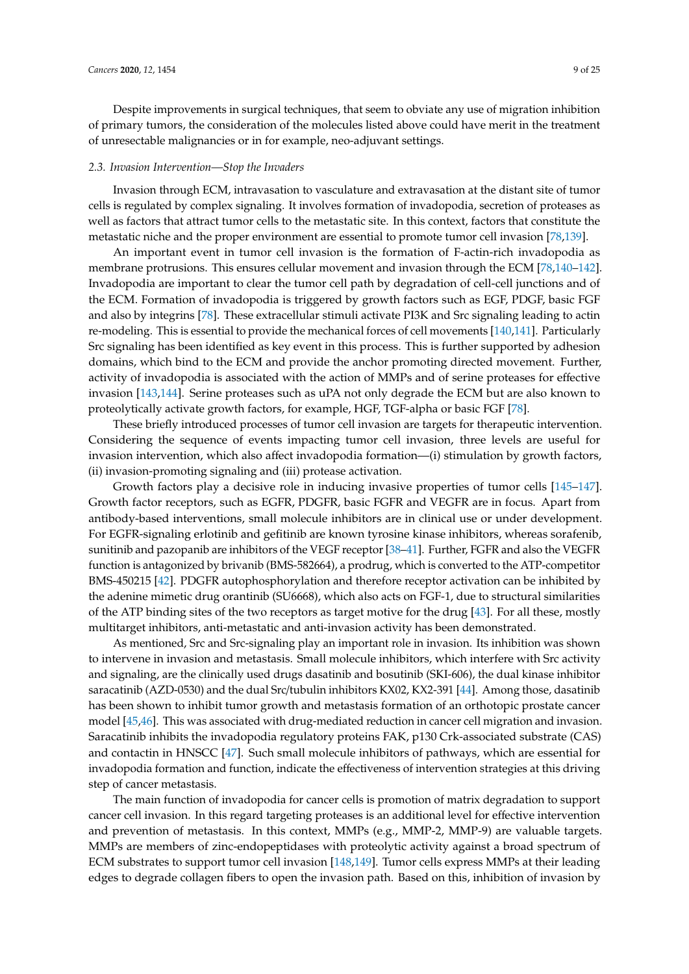Despite improvements in surgical techniques, that seem to obviate any use of migration inhibition of primary tumors, the consideration of the molecules listed above could have merit in the treatment of unresectable malignancies or in for example, neo-adjuvant settings.

#### *2.3. Invasion Intervention—Stop the Invaders*

Invasion through ECM, intravasation to vasculature and extravasation at the distant site of tumor cells is regulated by complex signaling. It involves formation of invadopodia, secretion of proteases as well as factors that attract tumor cells to the metastatic site. In this context, factors that constitute the metastatic niche and the proper environment are essential to promote tumor cell invasion [\[78,](#page-17-2)[139\]](#page-19-16).

An important event in tumor cell invasion is the formation of F-actin-rich invadopodia as membrane protrusions. This ensures cellular movement and invasion through the ECM [\[78](#page-17-2)[,140–](#page-19-17)[142\]](#page-20-0). Invadopodia are important to clear the tumor cell path by degradation of cell-cell junctions and of the ECM. Formation of invadopodia is triggered by growth factors such as EGF, PDGF, basic FGF and also by integrins [\[78\]](#page-17-2). These extracellular stimuli activate PI3K and Src signaling leading to actin re-modeling. This is essential to provide the mechanical forces of cell movements [\[140](#page-19-17)[,141\]](#page-20-1). Particularly Src signaling has been identified as key event in this process. This is further supported by adhesion domains, which bind to the ECM and provide the anchor promoting directed movement. Further, activity of invadopodia is associated with the action of MMPs and of serine proteases for effective invasion [\[143,](#page-20-2)[144\]](#page-20-3). Serine proteases such as uPA not only degrade the ECM but are also known to proteolytically activate growth factors, for example, HGF, TGF-alpha or basic FGF [\[78\]](#page-17-2).

These briefly introduced processes of tumor cell invasion are targets for therapeutic intervention. Considering the sequence of events impacting tumor cell invasion, three levels are useful for invasion intervention, which also affect invadopodia formation—(i) stimulation by growth factors, (ii) invasion-promoting signaling and (iii) protease activation.

Growth factors play a decisive role in inducing invasive properties of tumor cells [\[145–](#page-20-4)[147\]](#page-20-5). Growth factor receptors, such as EGFR, PDGFR, basic FGFR and VEGFR are in focus. Apart from antibody-based interventions, small molecule inhibitors are in clinical use or under development. For EGFR-signaling erlotinib and gefitinib are known tyrosine kinase inhibitors, whereas sorafenib, sunitinib and pazopanib are inhibitors of the VEGF receptor [\[38](#page-15-14)[–41\]](#page-15-15). Further, FGFR and also the VEGFR function is antagonized by brivanib (BMS-582664), a prodrug, which is converted to the ATP-competitor BMS-450215 [\[42\]](#page-15-16). PDGFR autophosphorylation and therefore receptor activation can be inhibited by the adenine mimetic drug orantinib (SU6668), which also acts on FGF-1, due to structural similarities of the ATP binding sites of the two receptors as target motive for the drug [\[43\]](#page-15-17). For all these, mostly multitarget inhibitors, anti-metastatic and anti-invasion activity has been demonstrated.

As mentioned, Src and Src-signaling play an important role in invasion. Its inhibition was shown to intervene in invasion and metastasis. Small molecule inhibitors, which interfere with Src activity and signaling, are the clinically used drugs dasatinib and bosutinib (SKI-606), the dual kinase inhibitor saracatinib (AZD-0530) and the dual Src/tubulin inhibitors KX02, KX2-391 [\[44\]](#page-15-18). Among those, dasatinib has been shown to inhibit tumor growth and metastasis formation of an orthotopic prostate cancer model [\[45](#page-15-19)[,46\]](#page-15-20). This was associated with drug-mediated reduction in cancer cell migration and invasion. Saracatinib inhibits the invadopodia regulatory proteins FAK, p130 Crk-associated substrate (CAS) and contactin in HNSCC [\[47\]](#page-15-21). Such small molecule inhibitors of pathways, which are essential for invadopodia formation and function, indicate the effectiveness of intervention strategies at this driving step of cancer metastasis.

The main function of invadopodia for cancer cells is promotion of matrix degradation to support cancer cell invasion. In this regard targeting proteases is an additional level for effective intervention and prevention of metastasis. In this context, MMPs (e.g., MMP-2, MMP-9) are valuable targets. MMPs are members of zinc-endopeptidases with proteolytic activity against a broad spectrum of ECM substrates to support tumor cell invasion [\[148,](#page-20-6)[149\]](#page-20-7). Tumor cells express MMPs at their leading edges to degrade collagen fibers to open the invasion path. Based on this, inhibition of invasion by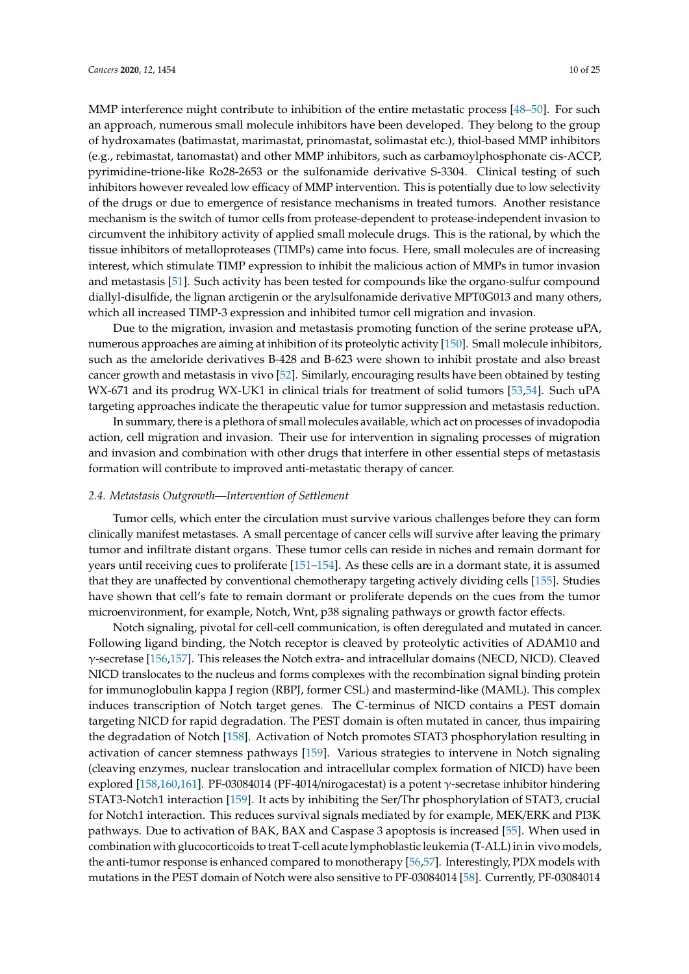MMP interference might contribute to inhibition of the entire metastatic process [\[48](#page-15-22)[–50\]](#page-15-23). For such an approach, numerous small molecule inhibitors have been developed. They belong to the group of hydroxamates (batimastat, marimastat, prinomastat, solimastat etc.), thiol-based MMP inhibitors (e.g., rebimastat, tanomastat) and other MMP inhibitors, such as carbamoylphosphonate cis-ACCP, pyrimidine-trione-like Ro28-2653 or the sulfonamide derivative S-3304. Clinical testing of such inhibitors however revealed low efficacy of MMP intervention. This is potentially due to low selectivity of the drugs or due to emergence of resistance mechanisms in treated tumors. Another resistance mechanism is the switch of tumor cells from protease-dependent to protease-independent invasion to circumvent the inhibitory activity of applied small molecule drugs. This is the rational, by which the tissue inhibitors of metalloproteases (TIMPs) came into focus. Here, small molecules are of increasing interest, which stimulate TIMP expression to inhibit the malicious action of MMPs in tumor invasion and metastasis [\[51\]](#page-15-24). Such activity has been tested for compounds like the organo-sulfur compound diallyl-disulfide, the lignan arctigenin or the arylsulfonamide derivative MPT0G013 and many others, which all increased TIMP-3 expression and inhibited tumor cell migration and invasion.

Due to the migration, invasion and metastasis promoting function of the serine protease uPA, numerous approaches are aiming at inhibition of its proteolytic activity [\[150\]](#page-20-8). Small molecule inhibitors, such as the ameloride derivatives B-428 and B-623 were shown to inhibit prostate and also breast cancer growth and metastasis in vivo [\[52\]](#page-15-25). Similarly, encouraging results have been obtained by testing WX-671 and its prodrug WX-UK1 in clinical trials for treatment of solid tumors [\[53](#page-15-26)[,54\]](#page-15-27). Such uPA targeting approaches indicate the therapeutic value for tumor suppression and metastasis reduction.

In summary, there is a plethora of small molecules available, which act on processes of invadopodia action, cell migration and invasion. Their use for intervention in signaling processes of migration and invasion and combination with other drugs that interfere in other essential steps of metastasis formation will contribute to improved anti-metastatic therapy of cancer.

#### *2.4. Metastasis Outgrowth—Intervention of Settlement*

Tumor cells, which enter the circulation must survive various challenges before they can form clinically manifest metastases. A small percentage of cancer cells will survive after leaving the primary tumor and infiltrate distant organs. These tumor cells can reside in niches and remain dormant for years until receiving cues to proliferate [\[151](#page-20-9)[–154\]](#page-20-10). As these cells are in a dormant state, it is assumed that they are unaffected by conventional chemotherapy targeting actively dividing cells [\[155\]](#page-20-11). Studies have shown that cell's fate to remain dormant or proliferate depends on the cues from the tumor microenvironment, for example, Notch, Wnt, p38 signaling pathways or growth factor effects.

Notch signaling, pivotal for cell-cell communication, is often deregulated and mutated in cancer. Following ligand binding, the Notch receptor is cleaved by proteolytic activities of ADAM10 and γ-secretase [\[156,](#page-20-12)[157\]](#page-20-13). This releases the Notch extra- and intracellular domains (NECD, NICD). Cleaved NICD translocates to the nucleus and forms complexes with the recombination signal binding protein for immunoglobulin kappa J region (RBPJ, former CSL) and mastermind-like (MAML). This complex induces transcription of Notch target genes. The C-terminus of NICD contains a PEST domain targeting NICD for rapid degradation. The PEST domain is often mutated in cancer, thus impairing the degradation of Notch [\[158\]](#page-20-14). Activation of Notch promotes STAT3 phosphorylation resulting in activation of cancer stemness pathways [\[159\]](#page-20-15). Various strategies to intervene in Notch signaling (cleaving enzymes, nuclear translocation and intracellular complex formation of NICD) have been explored [\[158](#page-20-14)[,160](#page-20-16)[,161\]](#page-20-17). PF-03084014 (PF-4014/nirogacestat) is a potent γ-secretase inhibitor hindering STAT3-Notch1 interaction [\[159\]](#page-20-15). It acts by inhibiting the Ser/Thr phosphorylation of STAT3, crucial for Notch1 interaction. This reduces survival signals mediated by for example, MEK/ERK and PI3K pathways. Due to activation of BAK, BAX and Caspase 3 apoptosis is increased [\[55\]](#page-15-28). When used in combination with glucocorticoids to treat T-cell acute lymphoblastic leukemia (T-ALL) in in vivo models, the anti-tumor response is enhanced compared to monotherapy [\[56,](#page-15-29)[57\]](#page-16-16). Interestingly, PDX models with mutations in the PEST domain of Notch were also sensitive to PF-03084014 [\[58\]](#page-16-17). Currently, PF-03084014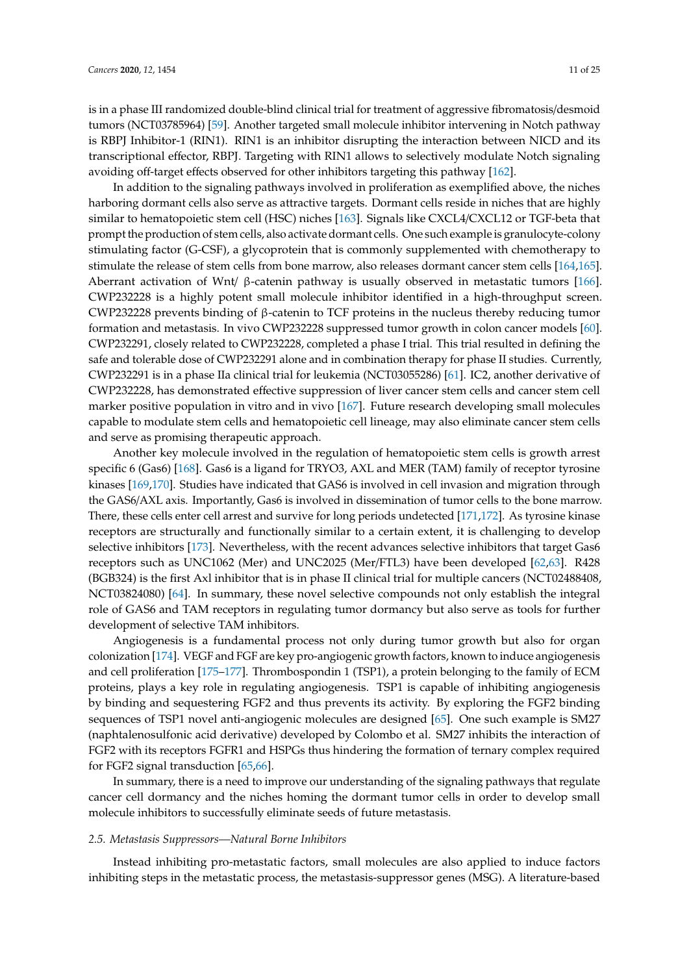is in a phase III randomized double-blind clinical trial for treatment of aggressive fibromatosis/desmoid tumors (NCT03785964) [\[59\]](#page-16-18). Another targeted small molecule inhibitor intervening in Notch pathway is RBPJ Inhibitor-1 (RIN1). RIN1 is an inhibitor disrupting the interaction between NICD and its transcriptional effector, RBPJ. Targeting with RIN1 allows to selectively modulate Notch signaling avoiding off-target effects observed for other inhibitors targeting this pathway [\[162\]](#page-20-18).

In addition to the signaling pathways involved in proliferation as exemplified above, the niches harboring dormant cells also serve as attractive targets. Dormant cells reside in niches that are highly similar to hematopoietic stem cell (HSC) niches [\[163\]](#page-21-0). Signals like CXCL4/CXCL12 or TGF-beta that prompt the production of stem cells, also activate dormant cells. One such example is granulocyte-colony stimulating factor (G-CSF), a glycoprotein that is commonly supplemented with chemotherapy to stimulate the release of stem cells from bone marrow, also releases dormant cancer stem cells [\[164](#page-21-1)[,165\]](#page-21-2). Aberrant activation of Wnt/ β-catenin pathway is usually observed in metastatic tumors [\[166\]](#page-21-3). CWP232228 is a highly potent small molecule inhibitor identified in a high-throughput screen. CWP232228 prevents binding of β-catenin to TCF proteins in the nucleus thereby reducing tumor formation and metastasis. In vivo CWP232228 suppressed tumor growth in colon cancer models [\[60\]](#page-16-19). CWP232291, closely related to CWP232228, completed a phase I trial. This trial resulted in defining the safe and tolerable dose of CWP232291 alone and in combination therapy for phase II studies. Currently, CWP232291 is in a phase IIa clinical trial for leukemia (NCT03055286) [\[61\]](#page-16-20). IC2, another derivative of CWP232228, has demonstrated effective suppression of liver cancer stem cells and cancer stem cell marker positive population in vitro and in vivo [\[167\]](#page-21-4). Future research developing small molecules capable to modulate stem cells and hematopoietic cell lineage, may also eliminate cancer stem cells and serve as promising therapeutic approach.

Another key molecule involved in the regulation of hematopoietic stem cells is growth arrest specific 6 (Gas6) [\[168\]](#page-21-5). Gas6 is a ligand for TRYO3, AXL and MER (TAM) family of receptor tyrosine kinases [\[169](#page-21-6)[,170\]](#page-21-7). Studies have indicated that GAS6 is involved in cell invasion and migration through the GAS6/AXL axis. Importantly, Gas6 is involved in dissemination of tumor cells to the bone marrow. There, these cells enter cell arrest and survive for long periods undetected [\[171,](#page-21-8)[172\]](#page-21-9). As tyrosine kinase receptors are structurally and functionally similar to a certain extent, it is challenging to develop selective inhibitors [\[173\]](#page-21-10). Nevertheless, with the recent advances selective inhibitors that target Gas6 receptors such as UNC1062 (Mer) and UNC2025 (Mer/FTL3) have been developed [\[62](#page-16-21)[,63\]](#page-16-22). R428 (BGB324) is the first Axl inhibitor that is in phase II clinical trial for multiple cancers (NCT02488408, NCT03824080) [\[64\]](#page-16-23). In summary, these novel selective compounds not only establish the integral role of GAS6 and TAM receptors in regulating tumor dormancy but also serve as tools for further development of selective TAM inhibitors.

Angiogenesis is a fundamental process not only during tumor growth but also for organ colonization [\[174\]](#page-21-11). VEGF and FGF are key pro-angiogenic growth factors, known to induce angiogenesis and cell proliferation [\[175–](#page-21-12)[177\]](#page-21-13). Thrombospondin 1 (TSP1), a protein belonging to the family of ECM proteins, plays a key role in regulating angiogenesis. TSP1 is capable of inhibiting angiogenesis by binding and sequestering FGF2 and thus prevents its activity. By exploring the FGF2 binding sequences of TSP1 novel anti-angiogenic molecules are designed [\[65\]](#page-16-24). One such example is SM27 (naphtalenosulfonic acid derivative) developed by Colombo et al. SM27 inhibits the interaction of FGF2 with its receptors FGFR1 and HSPGs thus hindering the formation of ternary complex required for FGF2 signal transduction [\[65,](#page-16-24)[66\]](#page-16-25).

In summary, there is a need to improve our understanding of the signaling pathways that regulate cancer cell dormancy and the niches homing the dormant tumor cells in order to develop small molecule inhibitors to successfully eliminate seeds of future metastasis.

### *2.5. Metastasis Suppressors—Natural Borne Inhibitors*

Instead inhibiting pro-metastatic factors, small molecules are also applied to induce factors inhibiting steps in the metastatic process, the metastasis-suppressor genes (MSG). A literature-based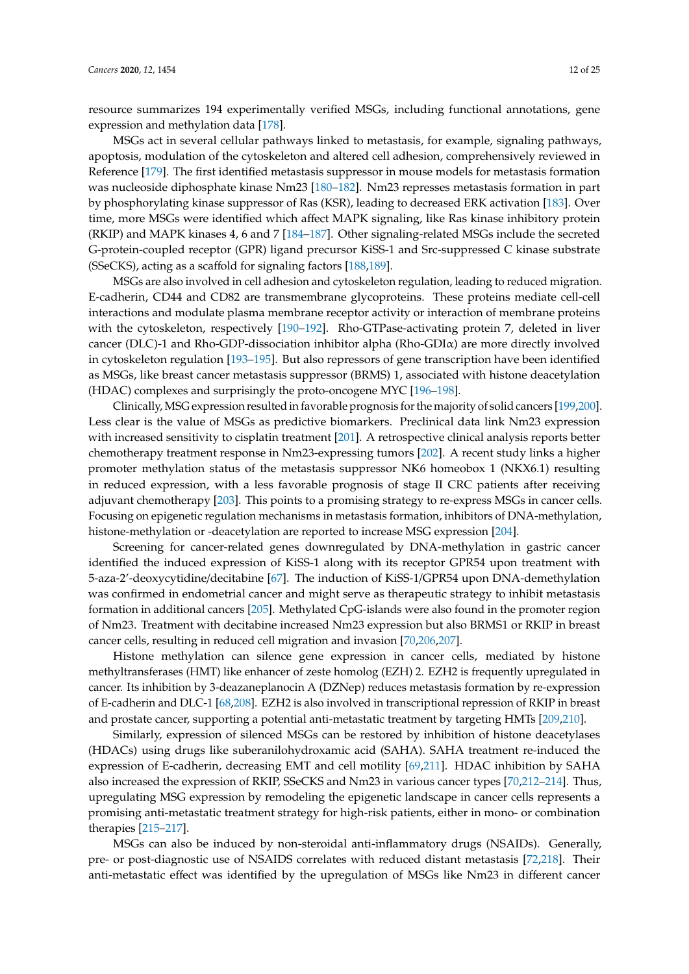resource summarizes 194 experimentally verified MSGs, including functional annotations, gene expression and methylation data [\[178\]](#page-21-14).

MSGs act in several cellular pathways linked to metastasis, for example, signaling pathways, apoptosis, modulation of the cytoskeleton and altered cell adhesion, comprehensively reviewed in Reference [\[179\]](#page-21-15). The first identified metastasis suppressor in mouse models for metastasis formation was nucleoside diphosphate kinase Nm23 [\[180](#page-21-16)[–182\]](#page-21-17). Nm23 represses metastasis formation in part by phosphorylating kinase suppressor of Ras (KSR), leading to decreased ERK activation [\[183\]](#page-21-18). Over time, more MSGs were identified which affect MAPK signaling, like Ras kinase inhibitory protein (RKIP) and MAPK kinases 4, 6 and 7 [\[184](#page-22-0)[–187\]](#page-22-1). Other signaling-related MSGs include the secreted G-protein-coupled receptor (GPR) ligand precursor KiSS-1 and Src-suppressed C kinase substrate (SSeCKS), acting as a scaffold for signaling factors [\[188](#page-22-2)[,189\]](#page-22-3).

MSGs are also involved in cell adhesion and cytoskeleton regulation, leading to reduced migration. E-cadherin, CD44 and CD82 are transmembrane glycoproteins. These proteins mediate cell-cell interactions and modulate plasma membrane receptor activity or interaction of membrane proteins with the cytoskeleton, respectively [\[190](#page-22-4)[–192\]](#page-22-5). Rho-GTPase-activating protein 7, deleted in liver cancer (DLC)-1 and Rho-GDP-dissociation inhibitor alpha (Rho-GDI $\alpha$ ) are more directly involved in cytoskeleton regulation [\[193](#page-22-6)[–195\]](#page-22-7). But also repressors of gene transcription have been identified as MSGs, like breast cancer metastasis suppressor (BRMS) 1, associated with histone deacetylation (HDAC) complexes and surprisingly the proto-oncogene MYC [\[196–](#page-22-8)[198\]](#page-22-9).

Clinically, MSG expression resulted in favorable prognosis for the majority of solid cancers [\[199](#page-22-10)[,200\]](#page-22-11). Less clear is the value of MSGs as predictive biomarkers. Preclinical data link Nm23 expression with increased sensitivity to cisplatin treatment [\[201\]](#page-22-12). A retrospective clinical analysis reports better chemotherapy treatment response in Nm23-expressing tumors [\[202\]](#page-22-13). A recent study links a higher promoter methylation status of the metastasis suppressor NK6 homeobox 1 (NKX6.1) resulting in reduced expression, with a less favorable prognosis of stage II CRC patients after receiving adjuvant chemotherapy [\[203\]](#page-22-14). This points to a promising strategy to re-express MSGs in cancer cells. Focusing on epigenetic regulation mechanisms in metastasis formation, inhibitors of DNA-methylation, histone-methylation or -deacetylation are reported to increase MSG expression [\[204\]](#page-22-15).

Screening for cancer-related genes downregulated by DNA-methylation in gastric cancer identified the induced expression of KiSS-1 along with its receptor GPR54 upon treatment with 5-aza-2'-deoxycytidine/decitabine [\[67\]](#page-16-26). The induction of KiSS-1/GPR54 upon DNA-demethylation was confirmed in endometrial cancer and might serve as therapeutic strategy to inhibit metastasis formation in additional cancers [\[205\]](#page-23-0). Methylated CpG-islands were also found in the promoter region of Nm23. Treatment with decitabine increased Nm23 expression but also BRMS1 or RKIP in breast cancer cells, resulting in reduced cell migration and invasion [\[70,](#page-16-27)[206,](#page-23-1)[207\]](#page-23-2).

Histone methylation can silence gene expression in cancer cells, mediated by histone methyltransferases (HMT) like enhancer of zeste homolog (EZH) 2. EZH2 is frequently upregulated in cancer. Its inhibition by 3-deazaneplanocin A (DZNep) reduces metastasis formation by re-expression of E-cadherin and DLC-1 [\[68](#page-16-28)[,208\]](#page-23-3). EZH2 is also involved in transcriptional repression of RKIP in breast and prostate cancer, supporting a potential anti-metastatic treatment by targeting HMTs [\[209](#page-23-4)[,210\]](#page-23-5).

Similarly, expression of silenced MSGs can be restored by inhibition of histone deacetylases (HDACs) using drugs like suberanilohydroxamic acid (SAHA). SAHA treatment re-induced the expression of E-cadherin, decreasing EMT and cell motility [\[69](#page-16-29)[,211\]](#page-23-6). HDAC inhibition by SAHA also increased the expression of RKIP, SSeCKS and Nm23 in various cancer types [\[70,](#page-16-27)[212](#page-23-7)[–214\]](#page-23-8). Thus, upregulating MSG expression by remodeling the epigenetic landscape in cancer cells represents a promising anti-metastatic treatment strategy for high-risk patients, either in mono- or combination therapies [\[215–](#page-23-9)[217\]](#page-23-10).

MSGs can also be induced by non-steroidal anti-inflammatory drugs (NSAIDs). Generally, pre- or post-diagnostic use of NSAIDS correlates with reduced distant metastasis [\[72,](#page-16-30)[218\]](#page-23-11). Their anti-metastatic effect was identified by the upregulation of MSGs like Nm23 in different cancer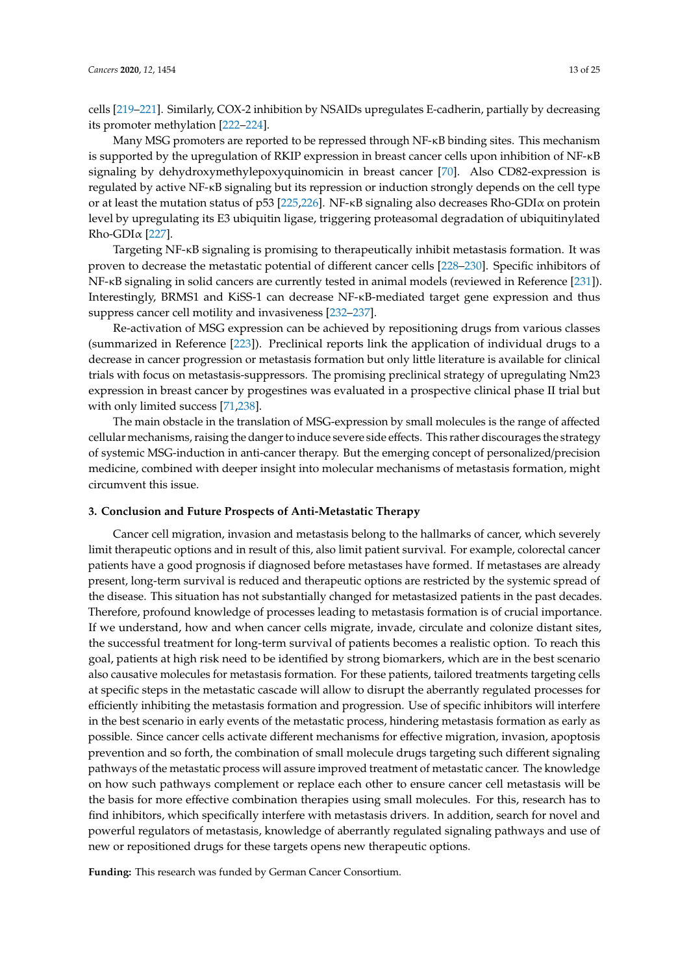Many MSG promoters are reported to be repressed through NF- $\kappa$ B binding sites. This mechanism is supported by the upregulation of RKIP expression in breast cancer cells upon inhibition of NF-κB signaling by dehydroxymethylepoxyquinomicin in breast cancer [\[70\]](#page-16-27). Also CD82-expression is regulated by active NF-κB signaling but its repression or induction strongly depends on the cell type or at least the mutation status of p53 [\[225](#page-24-1)[,226\]](#page-24-2). NF-κB signaling also decreases Rho-GDIα on protein level by upregulating its E3 ubiquitin ligase, triggering proteasomal degradation of ubiquitinylated Rho-GDI $\alpha$  [\[227\]](#page-24-3).

Targeting NF-κB signaling is promising to therapeutically inhibit metastasis formation. It was proven to decrease the metastatic potential of different cancer cells [\[228](#page-24-4)[–230\]](#page-24-5). Specific inhibitors of NF-κB signaling in solid cancers are currently tested in animal models (reviewed in Reference [\[231\]](#page-24-6)). Interestingly, BRMS1 and KiSS-1 can decrease NF-κB-mediated target gene expression and thus suppress cancer cell motility and invasiveness [\[232–](#page-24-7)[237\]](#page-24-8).

Re-activation of MSG expression can be achieved by repositioning drugs from various classes (summarized in Reference [\[223\]](#page-23-15)). Preclinical reports link the application of individual drugs to a decrease in cancer progression or metastasis formation but only little literature is available for clinical trials with focus on metastasis-suppressors. The promising preclinical strategy of upregulating Nm23 expression in breast cancer by progestines was evaluated in a prospective clinical phase II trial but with only limited success [\[71,](#page-16-31)[238\]](#page-24-9).

The main obstacle in the translation of MSG-expression by small molecules is the range of affected cellular mechanisms, raising the danger to induce severe side effects. This rather discourages the strategy of systemic MSG-induction in anti-cancer therapy. But the emerging concept of personalized/precision medicine, combined with deeper insight into molecular mechanisms of metastasis formation, might circumvent this issue.

#### **3. Conclusion and Future Prospects of Anti-Metastatic Therapy**

Cancer cell migration, invasion and metastasis belong to the hallmarks of cancer, which severely limit therapeutic options and in result of this, also limit patient survival. For example, colorectal cancer patients have a good prognosis if diagnosed before metastases have formed. If metastases are already present, long-term survival is reduced and therapeutic options are restricted by the systemic spread of the disease. This situation has not substantially changed for metastasized patients in the past decades. Therefore, profound knowledge of processes leading to metastasis formation is of crucial importance. If we understand, how and when cancer cells migrate, invade, circulate and colonize distant sites, the successful treatment for long-term survival of patients becomes a realistic option. To reach this goal, patients at high risk need to be identified by strong biomarkers, which are in the best scenario also causative molecules for metastasis formation. For these patients, tailored treatments targeting cells at specific steps in the metastatic cascade will allow to disrupt the aberrantly regulated processes for efficiently inhibiting the metastasis formation and progression. Use of specific inhibitors will interfere in the best scenario in early events of the metastatic process, hindering metastasis formation as early as possible. Since cancer cells activate different mechanisms for effective migration, invasion, apoptosis prevention and so forth, the combination of small molecule drugs targeting such different signaling pathways of the metastatic process will assure improved treatment of metastatic cancer. The knowledge on how such pathways complement or replace each other to ensure cancer cell metastasis will be the basis for more effective combination therapies using small molecules. For this, research has to find inhibitors, which specifically interfere with metastasis drivers. In addition, search for novel and powerful regulators of metastasis, knowledge of aberrantly regulated signaling pathways and use of new or repositioned drugs for these targets opens new therapeutic options.

**Funding:** This research was funded by German Cancer Consortium.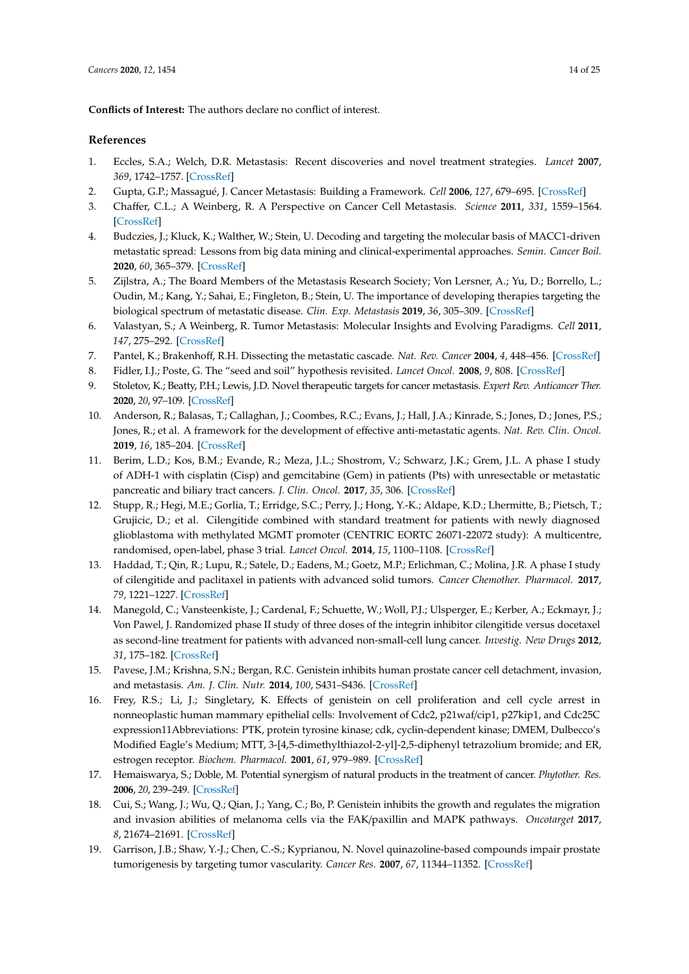**Conflicts of Interest:** The authors declare no conflict of interest.

## **References**

- <span id="page-13-10"></span><span id="page-13-0"></span>1. Eccles, S.A.; Welch, D.R. Metastasis: Recent discoveries and novel treatment strategies. *Lancet* **2007**, *369*, 1742–1757. [\[CrossRef\]](http://dx.doi.org/10.1016/S0140-6736(07)60781-8)
- <span id="page-13-1"></span>2. Gupta, G.P.; Massagué, J. Cancer Metastasis: Building a Framework. *Cell* **2006**, *127*, 679–695. [\[CrossRef\]](http://dx.doi.org/10.1016/j.cell.2006.11.001)
- <span id="page-13-11"></span><span id="page-13-2"></span>3. Chaffer, C.L.; A Weinberg, R. A Perspective on Cancer Cell Metastasis. *Science* **2011**, *331*, 1559–1564. [\[CrossRef\]](http://dx.doi.org/10.1126/science.1203543)
- <span id="page-13-3"></span>4. Budczies, J.; Kluck, K.; Walther, W.; Stein, U. Decoding and targeting the molecular basis of MACC1-driven metastatic spread: Lessons from big data mining and clinical-experimental approaches. *Semin. Cancer Boil.* **2020**, *60*, 365–379. [\[CrossRef\]](http://dx.doi.org/10.1016/j.semcancer.2019.08.010)
- <span id="page-13-4"></span>5. Zijlstra, A.; The Board Members of the Metastasis Research Society; Von Lersner, A.; Yu, D.; Borrello, L.; Oudin, M.; Kang, Y.; Sahai, E.; Fingleton, B.; Stein, U. The importance of developing therapies targeting the biological spectrum of metastatic disease. *Clin. Exp. Metastasis* **2019**, *36*, 305–309. [\[CrossRef\]](http://dx.doi.org/10.1007/s10585-019-09972-3)
- <span id="page-13-5"></span>6. Valastyan, S.; A Weinberg, R. Tumor Metastasis: Molecular Insights and Evolving Paradigms. *Cell* **2011**, *147*, 275–292. [\[CrossRef\]](http://dx.doi.org/10.1016/j.cell.2011.09.024)
- <span id="page-13-6"></span>7. Pantel, K.; Brakenhoff, R.H. Dissecting the metastatic cascade. *Nat. Rev. Cancer* **2004**, *4*, 448–456. [\[CrossRef\]](http://dx.doi.org/10.1038/nrc1370)
- <span id="page-13-7"></span>8. Fidler, I.J.; Poste, G. The "seed and soil" hypothesis revisited. *Lancet Oncol.* **2008**, *9*, 808. [\[CrossRef\]](http://dx.doi.org/10.1016/S1470-2045(08)70201-8)
- <span id="page-13-12"></span><span id="page-13-8"></span>9. Stoletov, K.; Beatty, P.H.; Lewis, J.D. Novel therapeutic targets for cancer metastasis. *Expert Rev. Anticancer Ther.* **2020**, *20*, 97–109. [\[CrossRef\]](http://dx.doi.org/10.1080/14737140.2020.1718496)
- <span id="page-13-9"></span>10. Anderson, R.; Balasas, T.; Callaghan, J.; Coombes, R.C.; Evans, J.; Hall, J.A.; Kinrade, S.; Jones, D.; Jones, P.S.; Jones, R.; et al. A framework for the development of effective anti-metastatic agents. *Nat. Rev. Clin. Oncol.* **2019**, *16*, 185–204. [\[CrossRef\]](http://dx.doi.org/10.1038/s41571-018-0134-8)
- <span id="page-13-15"></span>11. Berim, L.D.; Kos, B.M.; Evande, R.; Meza, J.L.; Shostrom, V.; Schwarz, J.K.; Grem, J.L. A phase I study of ADH-1 with cisplatin (Cisp) and gemcitabine (Gem) in patients (Pts) with unresectable or metastatic pancreatic and biliary tract cancers. *J. Clin. Oncol.* **2017**, *35*, 306. [\[CrossRef\]](http://dx.doi.org/10.1200/JCO.2017.35.4_suppl.306)
- <span id="page-13-16"></span><span id="page-13-13"></span>12. Stupp, R.; Hegi, M.E.; Gorlia, T.; Erridge, S.C.; Perry, J.; Hong, Y.-K.; Aldape, K.D.; Lhermitte, B.; Pietsch, T.; Grujicic, D.; et al. Cilengitide combined with standard treatment for patients with newly diagnosed glioblastoma with methylated MGMT promoter (CENTRIC EORTC 26071-22072 study): A multicentre, randomised, open-label, phase 3 trial. *Lancet Oncol.* **2014**, *15*, 1100–1108. [\[CrossRef\]](http://dx.doi.org/10.1016/S1470-2045(14)70379-1)
- <span id="page-13-17"></span><span id="page-13-14"></span>13. Haddad, T.; Qin, R.; Lupu, R.; Satele, D.; Eadens, M.; Goetz, M.P.; Erlichman, C.; Molina, J.R. A phase I study of cilengitide and paclitaxel in patients with advanced solid tumors. *Cancer Chemother. Pharmacol.* **2017**, *79*, 1221–1227. [\[CrossRef\]](http://dx.doi.org/10.1007/s00280-017-3322-9)
- <span id="page-13-18"></span>14. Manegold, C.; Vansteenkiste, J.; Cardenal, F.; Schuette, W.; Woll, P.J.; Ulsperger, E.; Kerber, A.; Eckmayr, J.; Von Pawel, J. Randomized phase II study of three doses of the integrin inhibitor cilengitide versus docetaxel as second-line treatment for patients with advanced non-small-cell lung cancer. *Investig. New Drugs* **2012**, *31*, 175–182. [\[CrossRef\]](http://dx.doi.org/10.1007/s10637-012-9842-6)
- <span id="page-13-19"></span>15. Pavese, J.M.; Krishna, S.N.; Bergan, R.C. Genistein inhibits human prostate cancer cell detachment, invasion, and metastasis. *Am. J. Clin. Nutr.* **2014**, *100*, S431–S436. [\[CrossRef\]](http://dx.doi.org/10.3945/ajcn.113.071290)
- 16. Frey, R.S.; Li, J.; Singletary, K. Effects of genistein on cell proliferation and cell cycle arrest in nonneoplastic human mammary epithelial cells: Involvement of Cdc2, p21waf/cip1, p27kip1, and Cdc25C expression11Abbreviations: PTK, protein tyrosine kinase; cdk, cyclin-dependent kinase; DMEM, Dulbecco's Modified Eagle's Medium; MTT, 3-[4,5-dimethylthiazol-2-yl]-2,5-diphenyl tetrazolium bromide; and ER, estrogen receptor. *Biochem. Pharmacol.* **2001**, *61*, 979–989. [\[CrossRef\]](http://dx.doi.org/10.1016/s0006-2952(01)00572-x)
- 17. Hemaiswarya, S.; Doble, M. Potential synergism of natural products in the treatment of cancer. *Phytother. Res.* **2006**, *20*, 239–249. [\[CrossRef\]](http://dx.doi.org/10.1002/ptr.1841)
- <span id="page-13-20"></span>18. Cui, S.; Wang, J.; Wu, Q.; Qian, J.; Yang, C.; Bo, P. Genistein inhibits the growth and regulates the migration and invasion abilities of melanoma cells via the FAK/paxillin and MAPK pathways. *Oncotarget* **2017**, *8*, 21674–21691. [\[CrossRef\]](http://dx.doi.org/10.18632/oncotarget.15535)
- <span id="page-13-21"></span>19. Garrison, J.B.; Shaw, Y.-J.; Chen, C.-S.; Kyprianou, N. Novel quinazoline-based compounds impair prostate tumorigenesis by targeting tumor vascularity. *Cancer Res.* **2007**, *67*, 11344–11352. [\[CrossRef\]](http://dx.doi.org/10.1158/0008-5472.CAN-07-1662)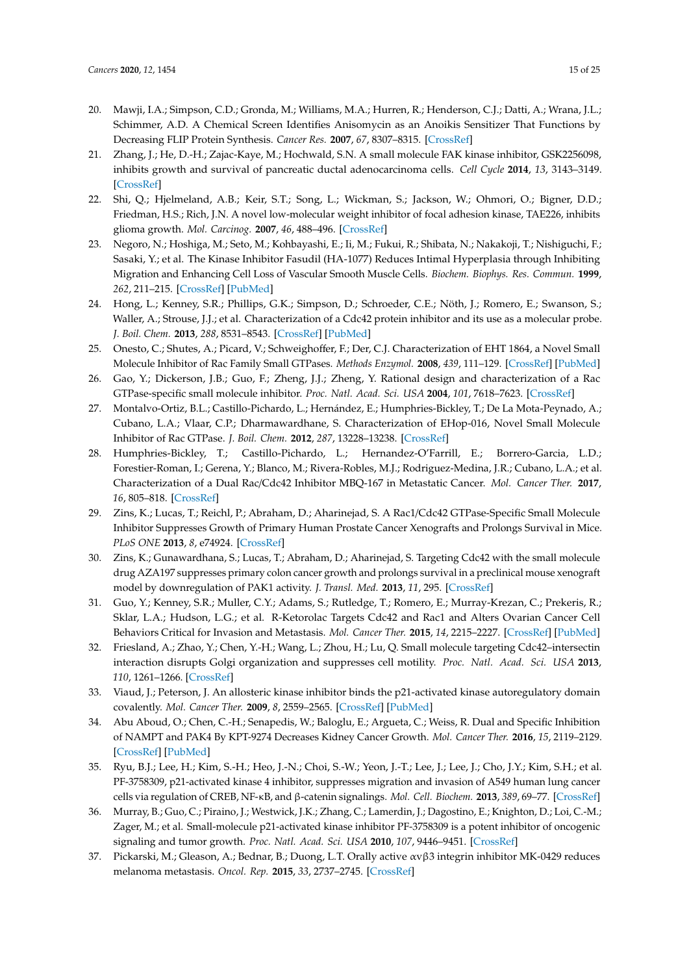- <span id="page-14-11"></span><span id="page-14-5"></span><span id="page-14-4"></span><span id="page-14-3"></span><span id="page-14-2"></span><span id="page-14-1"></span><span id="page-14-0"></span>20. Mawji, I.A.; Simpson, C.D.; Gronda, M.; Williams, M.A.; Hurren, R.; Henderson, C.J.; Datti, A.; Wrana, J.L.; Schimmer, A.D. A Chemical Screen Identifies Anisomycin as an Anoikis Sensitizer That Functions by Decreasing FLIP Protein Synthesis. *Cancer Res.* **2007**, *67*, 8307–8315. [\[CrossRef\]](http://dx.doi.org/10.1158/0008-5472.CAN-07-1687)
- <span id="page-14-12"></span>21. Zhang, J.; He, D.-H.; Zajac-Kaye, M.; Hochwald, S.N. A small molecule FAK kinase inhibitor, GSK2256098, inhibits growth and survival of pancreatic ductal adenocarcinoma cells. *Cell Cycle* **2014**, *13*, 3143–3149. [\[CrossRef\]](http://dx.doi.org/10.4161/15384101.2014.949550)
- <span id="page-14-13"></span>22. Shi, Q.; Hjelmeland, A.B.; Keir, S.T.; Song, L.; Wickman, S.; Jackson, W.; Ohmori, O.; Bigner, D.D.; Friedman, H.S.; Rich, J.N. A novel low-molecular weight inhibitor of focal adhesion kinase, TAE226, inhibits glioma growth. *Mol. Carcinog.* **2007**, *46*, 488–496. [\[CrossRef\]](http://dx.doi.org/10.1002/mc.20297)
- <span id="page-14-14"></span>23. Negoro, N.; Hoshiga, M.; Seto, M.; Kohbayashi, E.; Ii, M.; Fukui, R.; Shibata, N.; Nakakoji, T.; Nishiguchi, F.; Sasaki, Y.; et al. The Kinase Inhibitor Fasudil (HA-1077) Reduces Intimal Hyperplasia through Inhibiting Migration and Enhancing Cell Loss of Vascular Smooth Muscle Cells. *Biochem. Biophys. Res. Commun.* **1999**, *262*, 211–215. [\[CrossRef\]](http://dx.doi.org/10.1006/bbrc.1999.1129) [\[PubMed\]](http://www.ncbi.nlm.nih.gov/pubmed/10448094)
- <span id="page-14-16"></span><span id="page-14-6"></span>24. Hong, L.; Kenney, S.R.; Phillips, G.K.; Simpson, D.; Schroeder, C.E.; Nöth, J.; Romero, E.; Swanson, S.; Waller, A.; Strouse, J.J.; et al. Characterization of a Cdc42 protein inhibitor and its use as a molecular probe. *J. Boil. Chem.* **2013**, *288*, 8531–8543. [\[CrossRef\]](http://dx.doi.org/10.1074/jbc.M112.435941) [\[PubMed\]](http://www.ncbi.nlm.nih.gov/pubmed/23382385)
- <span id="page-14-15"></span><span id="page-14-7"></span>25. Onesto, C.; Shutes, A.; Picard, V.; Schweighoffer, F.; Der, C.J. Characterization of EHT 1864, a Novel Small Molecule Inhibitor of Rac Family Small GTPases. *Methods Enzymol.* **2008**, *439*, 111–129. [\[CrossRef\]](http://dx.doi.org/10.1016/s0076-6879(07)00409-0) [\[PubMed\]](http://www.ncbi.nlm.nih.gov/pubmed/18374160)
- <span id="page-14-17"></span>26. Gao, Y.; Dickerson, J.B.; Guo, F.; Zheng, J.J.; Zheng, Y. Rational design and characterization of a Rac GTPase-specific small molecule inhibitor. *Proc. Natl. Acad. Sci. USA* **2004**, *101*, 7618–7623. [\[CrossRef\]](http://dx.doi.org/10.1073/pnas.0307512101)
- <span id="page-14-8"></span>27. Montalvo-Ortiz, B.L.; Castillo-Pichardo, L.; Hernández, E.; Humphries-Bickley, T.; De La Mota-Peynado, A.; Cubano, L.A.; Vlaar, C.P.; Dharmawardhane, S. Characterization of EHop-016, Novel Small Molecule Inhibitor of Rac GTPase. *J. Boil. Chem.* **2012**, *287*, 13228–13238. [\[CrossRef\]](http://dx.doi.org/10.1074/jbc.M111.334524)
- <span id="page-14-9"></span>28. Humphries-Bickley, T.; Castillo-Pichardo, L.; Hernandez-O'Farrill, E.; Borrero-Garcia, L.D.; Forestier-Roman, I.; Gerena, Y.; Blanco, M.; Rivera-Robles, M.J.; Rodriguez-Medina, J.R.; Cubano, L.A.; et al. Characterization of a Dual Rac/Cdc42 Inhibitor MBQ-167 in Metastatic Cancer. *Mol. Cancer Ther.* **2017**, *16*, 805–818. [\[CrossRef\]](http://dx.doi.org/10.1158/1535-7163.MCT-16-0442)
- <span id="page-14-18"></span>29. Zins, K.; Lucas, T.; Reichl, P.; Abraham, D.; Aharinejad, S. A Rac1/Cdc42 GTPase-Specific Small Molecule Inhibitor Suppresses Growth of Primary Human Prostate Cancer Xenografts and Prolongs Survival in Mice. *PLoS ONE* **2013**, *8*, e74924. [\[CrossRef\]](http://dx.doi.org/10.1371/journal.pone.0074924)
- <span id="page-14-20"></span><span id="page-14-10"></span>30. Zins, K.; Gunawardhana, S.; Lucas, T.; Abraham, D.; Aharinejad, S. Targeting Cdc42 with the small molecule drug AZA197 suppresses primary colon cancer growth and prolongs survival in a preclinical mouse xenograft model by downregulation of PAK1 activity. *J. Transl. Med.* **2013**, *11*, 295. [\[CrossRef\]](http://dx.doi.org/10.1186/1479-5876-11-295)
- <span id="page-14-21"></span>31. Guo, Y.; Kenney, S.R.; Muller, C.Y.; Adams, S.; Rutledge, T.; Romero, E.; Murray-Krezan, C.; Prekeris, R.; Sklar, L.A.; Hudson, L.G.; et al. R-Ketorolac Targets Cdc42 and Rac1 and Alters Ovarian Cancer Cell Behaviors Critical for Invasion and Metastasis. *Mol. Cancer Ther.* **2015**, *14*, 2215–2227. [\[CrossRef\]](http://dx.doi.org/10.1158/1535-7163.MCT-15-0419) [\[PubMed\]](http://www.ncbi.nlm.nih.gov/pubmed/26206334)
- <span id="page-14-19"></span>32. Friesland, A.; Zhao, Y.; Chen, Y.-H.; Wang, L.; Zhou, H.; Lu, Q. Small molecule targeting Cdc42–intersectin interaction disrupts Golgi organization and suppresses cell motility. *Proc. Natl. Acad. Sci. USA* **2013**, *110*, 1261–1266. [\[CrossRef\]](http://dx.doi.org/10.1073/pnas.1116051110)
- <span id="page-14-22"></span>33. Viaud, J.; Peterson, J. An allosteric kinase inhibitor binds the p21-activated kinase autoregulatory domain covalently. *Mol. Cancer Ther.* **2009**, *8*, 2559–2565. [\[CrossRef\]](http://dx.doi.org/10.1158/1535-7163.MCT-09-0102) [\[PubMed\]](http://www.ncbi.nlm.nih.gov/pubmed/19723886)
- <span id="page-14-23"></span>34. Abu Aboud, O.; Chen, C.-H.; Senapedis, W.; Baloglu, E.; Argueta, C.; Weiss, R. Dual and Specific Inhibition of NAMPT and PAK4 By KPT-9274 Decreases Kidney Cancer Growth. *Mol. Cancer Ther.* **2016**, *15*, 2119–2129. [\[CrossRef\]](http://dx.doi.org/10.1158/1535-7163.MCT-16-0197) [\[PubMed\]](http://www.ncbi.nlm.nih.gov/pubmed/27390344)
- <span id="page-14-24"></span>35. Ryu, B.J.; Lee, H.; Kim, S.-H.; Heo, J.-N.; Choi, S.-W.; Yeon, J.-T.; Lee, J.; Lee, J.; Cho, J.Y.; Kim, S.H.; et al. PF-3758309, p21-activated kinase 4 inhibitor, suppresses migration and invasion of A549 human lung cancer cells via regulation of CREB, NF-κB, and β-catenin signalings. *Mol. Cell. Biochem.* **2013**, *389*, 69–77. [\[CrossRef\]](http://dx.doi.org/10.1007/s11010-013-1928-8)
- <span id="page-14-25"></span>36. Murray, B.; Guo, C.; Piraino, J.; Westwick, J.K.; Zhang, C.; Lamerdin, J.; Dagostino, E.; Knighton, D.; Loi, C.-M.; Zager, M.; et al. Small-molecule p21-activated kinase inhibitor PF-3758309 is a potent inhibitor of oncogenic signaling and tumor growth. *Proc. Natl. Acad. Sci. USA* **2010**, *107*, 9446–9451. [\[CrossRef\]](http://dx.doi.org/10.1073/pnas.0911863107)
- <span id="page-14-26"></span>37. Pickarski, M.; Gleason, A.; Bednar, B.; Duong, L.T. Orally active αvβ3 integrin inhibitor MK-0429 reduces melanoma metastasis. *Oncol. Rep.* **2015**, *33*, 2737–2745. [\[CrossRef\]](http://dx.doi.org/10.3892/or.2015.3910)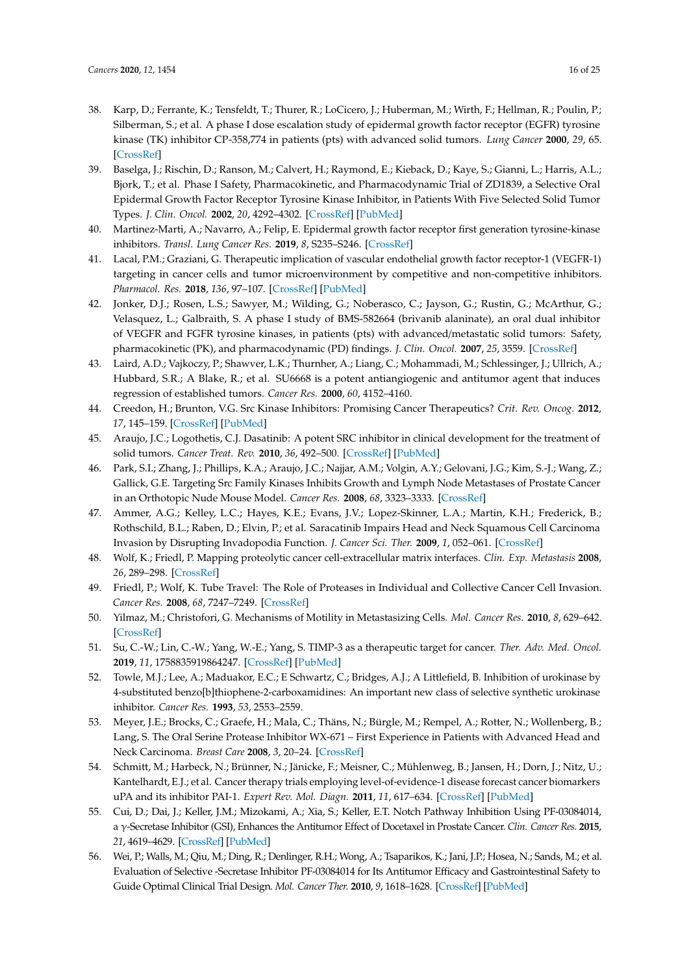- <span id="page-15-14"></span><span id="page-15-5"></span><span id="page-15-4"></span><span id="page-15-3"></span><span id="page-15-2"></span><span id="page-15-1"></span><span id="page-15-0"></span>38. Karp, D.; Ferrante, K.; Tensfeldt, T.; Thurer, R.; LoCicero, J.; Huberman, M.; Wirth, F.; Hellman, R.; Poulin, P.; Silberman, S.; et al. A phase I dose escalation study of epidermal growth factor receptor (EGFR) tyrosine kinase (TK) inhibitor CP-358,774 in patients (pts) with advanced solid tumors. *Lung Cancer* **2000**, *29*, 65. [\[CrossRef\]](http://dx.doi.org/10.1016/S0169-5002(00)80208-1)
- <span id="page-15-6"></span>39. Baselga, J.; Rischin, D.; Ranson, M.; Calvert, H.; Raymond, E.; Kieback, D.; Kaye, S.; Gianni, L.; Harris, A.L.; Bjork, T.; et al. Phase I Safety, Pharmacokinetic, and Pharmacodynamic Trial of ZD1839, a Selective Oral Epidermal Growth Factor Receptor Tyrosine Kinase Inhibitor, in Patients With Five Selected Solid Tumor Types. *J. Clin. Oncol.* **2002**, *20*, 4292–4302. [\[CrossRef\]](http://dx.doi.org/10.1200/JCO.2002.03.100) [\[PubMed\]](http://www.ncbi.nlm.nih.gov/pubmed/12409327)
- <span id="page-15-7"></span>40. Martinez-Marti, A.; Navarro, A.; Felip, E. Epidermal growth factor receptor first generation tyrosine-kinase inhibitors. *Transl. Lung Cancer Res.* **2019**, *8*, S235–S246. [\[CrossRef\]](http://dx.doi.org/10.21037/tlcr.2019.04.20)
- <span id="page-15-15"></span><span id="page-15-8"></span>41. Lacal, P.M.; Graziani, G. Therapeutic implication of vascular endothelial growth factor receptor-1 (VEGFR-1) targeting in cancer cells and tumor microenvironment by competitive and non-competitive inhibitors. *Pharmacol. Res.* **2018**, *136*, 97–107. [\[CrossRef\]](http://dx.doi.org/10.1016/j.phrs.2018.08.023) [\[PubMed\]](http://www.ncbi.nlm.nih.gov/pubmed/30170190)
- <span id="page-15-16"></span><span id="page-15-9"></span>42. Jonker, D.J.; Rosen, L.S.; Sawyer, M.; Wilding, G.; Noberasco, C.; Jayson, G.; Rustin, G.; McArthur, G.; Velasquez, L.; Galbraith, S. A phase I study of BMS-582664 (brivanib alaninate), an oral dual inhibitor of VEGFR and FGFR tyrosine kinases, in patients (pts) with advanced/metastatic solid tumors: Safety, pharmacokinetic (PK), and pharmacodynamic (PD) findings. *J. Clin. Oncol.* **2007**, *25*, 3559. [\[CrossRef\]](http://dx.doi.org/10.1200/jco.2007.25.18_suppl.3559)
- <span id="page-15-17"></span><span id="page-15-10"></span>43. Laird, A.D.; Vajkoczy, P.; Shawver, L.K.; Thurnher, A.; Liang, C.; Mohammadi, M.; Schlessinger, J.; Ullrich, A.; Hubbard, S.R.; A Blake, R.; et al. SU6668 is a potent antiangiogenic and antitumor agent that induces regression of established tumors. *Cancer Res.* **2000**, *60*, 4152–4160.
- <span id="page-15-18"></span><span id="page-15-11"></span>44. Creedon, H.; Brunton, V.G. Src Kinase Inhibitors: Promising Cancer Therapeutics? *Crit. Rev. Oncog.* **2012**, *17*, 145–159. [\[CrossRef\]](http://dx.doi.org/10.1615/CritRevOncog.v17.i2.20) [\[PubMed\]](http://www.ncbi.nlm.nih.gov/pubmed/22471705)
- <span id="page-15-19"></span>45. Araujo, J.C.; Logothetis, C.J. Dasatinib: A potent SRC inhibitor in clinical development for the treatment of solid tumors. *Cancer Treat. Rev.* **2010**, *36*, 492–500. [\[CrossRef\]](http://dx.doi.org/10.1016/j.ctrv.2010.02.015) [\[PubMed\]](http://www.ncbi.nlm.nih.gov/pubmed/20226597)
- <span id="page-15-20"></span><span id="page-15-12"></span>46. Park, S.I.; Zhang, J.; Phillips, K.A.; Araujo, J.C.; Najjar, A.M.; Volgin, A.Y.; Gelovani, J.G.; Kim, S.-J.; Wang, Z.; Gallick, G.E. Targeting Src Family Kinases Inhibits Growth and Lymph Node Metastases of Prostate Cancer in an Orthotopic Nude Mouse Model. *Cancer Res.* **2008**, *68*, 3323–3333. [\[CrossRef\]](http://dx.doi.org/10.1158/0008-5472.CAN-07-2997)
- <span id="page-15-21"></span><span id="page-15-13"></span>47. Ammer, A.G.; Kelley, L.C.; Hayes, K.E.; Evans, J.V.; Lopez-Skinner, L.A.; Martin, K.H.; Frederick, B.; Rothschild, B.L.; Raben, D.; Elvin, P.; et al. Saracatinib Impairs Head and Neck Squamous Cell Carcinoma Invasion by Disrupting Invadopodia Function. *J. Cancer Sci. Ther.* **2009**, *1*, 052–061. [\[CrossRef\]](http://dx.doi.org/10.4172/1948-5956.1000009)
- <span id="page-15-22"></span>48. Wolf, K.; Friedl, P. Mapping proteolytic cancer cell-extracellular matrix interfaces. *Clin. Exp. Metastasis* **2008**, *26*, 289–298. [\[CrossRef\]](http://dx.doi.org/10.1007/s10585-008-9190-2)
- 49. Friedl, P.; Wolf, K. Tube Travel: The Role of Proteases in Individual and Collective Cancer Cell Invasion. *Cancer Res.* **2008**, *68*, 7247–7249. [\[CrossRef\]](http://dx.doi.org/10.1158/0008-5472.CAN-08-0784)
- <span id="page-15-23"></span>50. Yilmaz, M.; Christofori, G. Mechanisms of Motility in Metastasizing Cells. *Mol. Cancer Res.* **2010**, *8*, 629–642. [\[CrossRef\]](http://dx.doi.org/10.1158/1541-7786.MCR-10-0139)
- <span id="page-15-24"></span>51. Su, C.-W.; Lin, C.-W.; Yang, W.-E.; Yang, S. TIMP-3 as a therapeutic target for cancer. *Ther. Adv. Med. Oncol.* **2019**, *11*, 1758835919864247. [\[CrossRef\]](http://dx.doi.org/10.1177/1758835919864247) [\[PubMed\]](http://www.ncbi.nlm.nih.gov/pubmed/31360238)
- <span id="page-15-25"></span>52. Towle, M.J.; Lee, A.; Maduakor, E.C.; E Schwartz, C.; Bridges, A.J.; A Littlefield, B. Inhibition of urokinase by 4-substituted benzo[b]thiophene-2-carboxamidines: An important new class of selective synthetic urokinase inhibitor. *Cancer Res.* **1993**, *53*, 2553–2559.
- <span id="page-15-26"></span>53. Meyer, J.E.; Brocks, C.; Graefe, H.; Mala, C.; Thäns, N.; Bürgle, M.; Rempel, A.; Rotter, N.; Wollenberg, B.; Lang, S. The Oral Serine Protease Inhibitor WX-671 – First Experience in Patients with Advanced Head and Neck Carcinoma. *Breast Care* **2008**, *3*, 20–24. [\[CrossRef\]](http://dx.doi.org/10.1159/000151736)
- <span id="page-15-27"></span>54. Schmitt, M.; Harbeck, N.; Brünner, N.; Jänicke, F.; Meisner, C.; Mühlenweg, B.; Jansen, H.; Dorn, J.; Nitz, U.; Kantelhardt, E.J.; et al. Cancer therapy trials employing level-of-evidence-1 disease forecast cancer biomarkers uPA and its inhibitor PAI-1. *Expert Rev. Mol. Diagn.* **2011**, *11*, 617–634. [\[CrossRef\]](http://dx.doi.org/10.1586/erm.11.47) [\[PubMed\]](http://www.ncbi.nlm.nih.gov/pubmed/21745015)
- <span id="page-15-28"></span>55. Cui, D.; Dai, J.; Keller, J.M.; Mizokami, A.; Xia, S.; Keller, E.T. Notch Pathway Inhibition Using PF-03084014, a γ-Secretase Inhibitor (GSI), Enhances the Antitumor Effect of Docetaxel in Prostate Cancer. *Clin. Cancer Res.* **2015**, *21*, 4619–4629. [\[CrossRef\]](http://dx.doi.org/10.1158/1078-0432.CCR-15-0242) [\[PubMed\]](http://www.ncbi.nlm.nih.gov/pubmed/26202948)
- <span id="page-15-29"></span>56. Wei, P.; Walls, M.; Qiu, M.; Ding, R.; Denlinger, R.H.; Wong, A.; Tsaparikos, K.; Jani, J.P.; Hosea, N.; Sands, M.; et al. Evaluation of Selective -Secretase Inhibitor PF-03084014 for Its Antitumor Efficacy and Gastrointestinal Safety to Guide Optimal Clinical Trial Design. *Mol. Cancer Ther.* **2010**, *9*, 1618–1628. [\[CrossRef\]](http://dx.doi.org/10.1158/1535-7163.MCT-10-0034) [\[PubMed\]](http://www.ncbi.nlm.nih.gov/pubmed/20530712)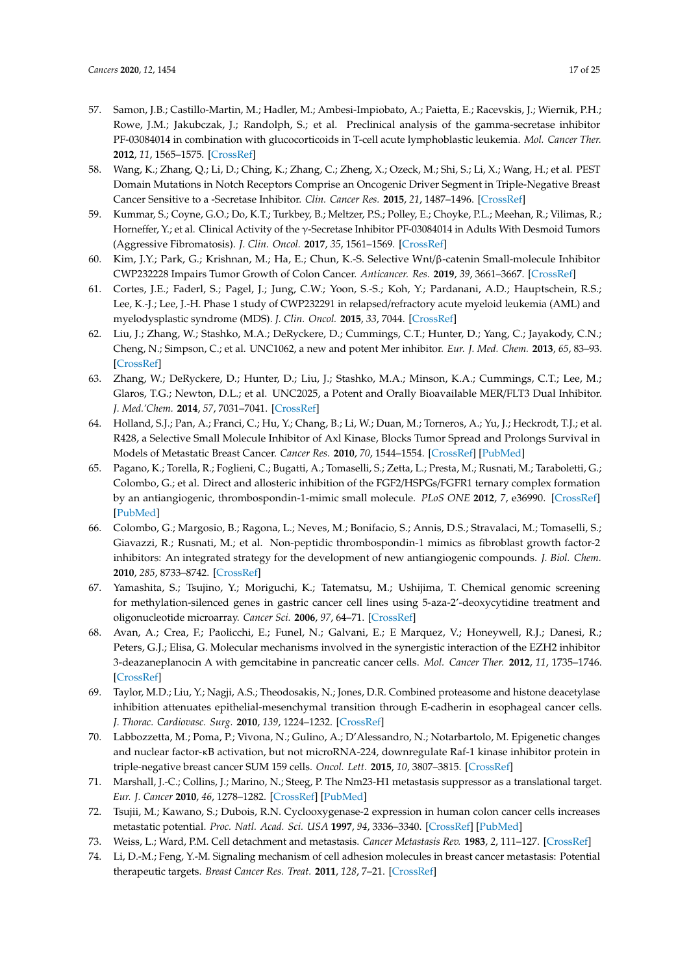- <span id="page-16-16"></span><span id="page-16-5"></span><span id="page-16-4"></span><span id="page-16-3"></span><span id="page-16-2"></span><span id="page-16-1"></span><span id="page-16-0"></span>57. Samon, J.B.; Castillo-Martin, M.; Hadler, M.; Ambesi-Impiobato, A.; Paietta, E.; Racevskis, J.; Wiernik, P.H.; Rowe, J.M.; Jakubczak, J.; Randolph, S.; et al. Preclinical analysis of the gamma-secretase inhibitor PF-03084014 in combination with glucocorticoids in T-cell acute lymphoblastic leukemia. *Mol. Cancer Ther.* **2012**, *11*, 1565–1575. [\[CrossRef\]](http://dx.doi.org/10.1158/1535-7163.MCT-11-0938)
- <span id="page-16-17"></span><span id="page-16-6"></span>58. Wang, K.; Zhang, Q.; Li, D.; Ching, K.; Zhang, C.; Zheng, X.; Ozeck, M.; Shi, S.; Li, X.; Wang, H.; et al. PEST Domain Mutations in Notch Receptors Comprise an Oncogenic Driver Segment in Triple-Negative Breast Cancer Sensitive to a -Secretase Inhibitor. *Clin. Cancer Res.* **2015**, *21*, 1487–1496. [\[CrossRef\]](http://dx.doi.org/10.1158/1078-0432.CCR-14-1348)
- <span id="page-16-18"></span>59. Kummar, S.; Coyne, G.O.; Do, K.T.; Turkbey, B.; Meltzer, P.S.; Polley, E.; Choyke, P.L.; Meehan, R.; Vilimas, R.; Horneffer, Y.; et al. Clinical Activity of the γ-Secretase Inhibitor PF-03084014 in Adults With Desmoid Tumors (Aggressive Fibromatosis). *J. Clin. Oncol.* **2017**, *35*, 1561–1569. [\[CrossRef\]](http://dx.doi.org/10.1200/JCO.2016.71.1994)
- <span id="page-16-19"></span><span id="page-16-7"></span>60. Kim, J.Y.; Park, G.; Krishnan, M.; Ha, E.; Chun, K.-S. Selective Wnt/β-catenin Small-molecule Inhibitor CWP232228 Impairs Tumor Growth of Colon Cancer. *Anticancer. Res.* **2019**, *39*, 3661–3667. [\[CrossRef\]](http://dx.doi.org/10.21873/anticanres.13514)
- <span id="page-16-20"></span><span id="page-16-8"></span>61. Cortes, J.E.; Faderl, S.; Pagel, J.; Jung, C.W.; Yoon, S.-S.; Koh, Y.; Pardanani, A.D.; Hauptschein, R.S.; Lee, K.-J.; Lee, J.-H. Phase 1 study of CWP232291 in relapsed/refractory acute myeloid leukemia (AML) and myelodysplastic syndrome (MDS). *J. Clin. Oncol.* **2015**, *33*, 7044. [\[CrossRef\]](http://dx.doi.org/10.1200/jco.2015.33.15_suppl.7044)
- <span id="page-16-21"></span><span id="page-16-9"></span>62. Liu, J.; Zhang, W.; Stashko, M.A.; DeRyckere, D.; Cummings, C.T.; Hunter, D.; Yang, C.; Jayakody, C.N.; Cheng, N.; Simpson, C.; et al. UNC1062, a new and potent Mer inhibitor. *Eur. J. Med. Chem.* **2013**, *65*, 83–93. [\[CrossRef\]](http://dx.doi.org/10.1016/j.ejmech.2013.03.035)
- <span id="page-16-22"></span>63. Zhang, W.; DeRyckere, D.; Hunter, D.; Liu, J.; Stashko, M.A.; Minson, K.A.; Cummings, C.T.; Lee, M.; Glaros, T.G.; Newton, D.L.; et al. UNC2025, a Potent and Orally Bioavailable MER/FLT3 Dual Inhibitor. *J. Med.'Chem.* **2014**, *57*, 7031–7041. [\[CrossRef\]](http://dx.doi.org/10.1021/jm500749d)
- <span id="page-16-23"></span><span id="page-16-10"></span>64. Holland, S.J.; Pan, A.; Franci, C.; Hu, Y.; Chang, B.; Li, W.; Duan, M.; Torneros, A.; Yu, J.; Heckrodt, T.J.; et al. R428, a Selective Small Molecule Inhibitor of Axl Kinase, Blocks Tumor Spread and Prolongs Survival in Models of Metastatic Breast Cancer. *Cancer Res.* **2010**, *70*, 1544–1554. [\[CrossRef\]](http://dx.doi.org/10.1158/0008-5472.CAN-09-2997) [\[PubMed\]](http://www.ncbi.nlm.nih.gov/pubmed/20145120)
- <span id="page-16-24"></span><span id="page-16-12"></span><span id="page-16-11"></span>65. Pagano, K.; Torella, R.; Foglieni, C.; Bugatti, A.; Tomaselli, S.; Zetta, L.; Presta, M.; Rusnati, M.; Taraboletti, G.; Colombo, G.; et al. Direct and allosteric inhibition of the FGF2/HSPGs/FGFR1 ternary complex formation by an antiangiogenic, thrombospondin-1-mimic small molecule. *PLoS ONE* **2012**, *7*, e36990. [\[CrossRef\]](http://dx.doi.org/10.1371/journal.pone.0036990) [\[PubMed\]](http://www.ncbi.nlm.nih.gov/pubmed/22606323)
- <span id="page-16-25"></span><span id="page-16-13"></span>66. Colombo, G.; Margosio, B.; Ragona, L.; Neves, M.; Bonifacio, S.; Annis, D.S.; Stravalaci, M.; Tomaselli, S.; Giavazzi, R.; Rusnati, M.; et al. Non-peptidic thrombospondin-1 mimics as fibroblast growth factor-2 inhibitors: An integrated strategy for the development of new antiangiogenic compounds. *J. Biol. Chem.* **2010**, *285*, 8733–8742. [\[CrossRef\]](http://dx.doi.org/10.1074/jbc.M109.085605)
- <span id="page-16-26"></span>67. Yamashita, S.; Tsujino, Y.; Moriguchi, K.; Tatematsu, M.; Ushijima, T. Chemical genomic screening for methylation-silenced genes in gastric cancer cell lines using 5-aza-2'-deoxycytidine treatment and oligonucleotide microarray. *Cancer Sci.* **2006**, *97*, 64–71. [\[CrossRef\]](http://dx.doi.org/10.1111/j.1349-7006.2006.00136.x)
- <span id="page-16-28"></span>68. Avan, A.; Crea, F.; Paolicchi, E.; Funel, N.; Galvani, E.; E Marquez, V.; Honeywell, R.J.; Danesi, R.; Peters, G.J.; Elisa, G. Molecular mechanisms involved in the synergistic interaction of the EZH2 inhibitor 3-deazaneplanocin A with gemcitabine in pancreatic cancer cells. *Mol. Cancer Ther.* **2012**, *11*, 1735–1746. [\[CrossRef\]](http://dx.doi.org/10.1158/1535-7163.MCT-12-0037)
- <span id="page-16-29"></span>69. Taylor, M.D.; Liu, Y.; Nagji, A.S.; Theodosakis, N.; Jones, D.R. Combined proteasome and histone deacetylase inhibition attenuates epithelial-mesenchymal transition through E-cadherin in esophageal cancer cells. *J. Thorac. Cardiovasc. Surg.* **2010**, *139*, 1224–1232. [\[CrossRef\]](http://dx.doi.org/10.1016/j.jtcvs.2010.01.039)
- <span id="page-16-27"></span>70. Labbozzetta, M.; Poma, P.; Vivona, N.; Gulino, A.; D'Alessandro, N.; Notarbartolo, M. Epigenetic changes and nuclear factor-κB activation, but not microRNA-224, downregulate Raf-1 kinase inhibitor protein in triple-negative breast cancer SUM 159 cells. *Oncol. Lett.* **2015**, *10*, 3807–3815. [\[CrossRef\]](http://dx.doi.org/10.3892/ol.2015.3787)
- <span id="page-16-31"></span>71. Marshall, J.-C.; Collins, J.; Marino, N.; Steeg, P. The Nm23-H1 metastasis suppressor as a translational target. *Eur. J. Cancer* **2010**, *46*, 1278–1282. [\[CrossRef\]](http://dx.doi.org/10.1016/j.ejca.2010.02.042) [\[PubMed\]](http://www.ncbi.nlm.nih.gov/pubmed/20304626)
- <span id="page-16-30"></span>72. Tsujii, M.; Kawano, S.; Dubois, R.N. Cyclooxygenase-2 expression in human colon cancer cells increases metastatic potential. *Proc. Natl. Acad. Sci. USA* **1997**, *94*, 3336–3340. [\[CrossRef\]](http://dx.doi.org/10.1073/pnas.94.7.3336) [\[PubMed\]](http://www.ncbi.nlm.nih.gov/pubmed/9096394)
- <span id="page-16-14"></span>73. Weiss, L.; Ward, P.M. Cell detachment and metastasis. *Cancer Metastasis Rev.* **1983**, *2*, 111–127. [\[CrossRef\]](http://dx.doi.org/10.1007/BF00048965)
- <span id="page-16-15"></span>74. Li, D.-M.; Feng, Y.-M. Signaling mechanism of cell adhesion molecules in breast cancer metastasis: Potential therapeutic targets. *Breast Cancer Res. Treat.* **2011**, *128*, 7–21. [\[CrossRef\]](http://dx.doi.org/10.1007/s10549-011-1499-x)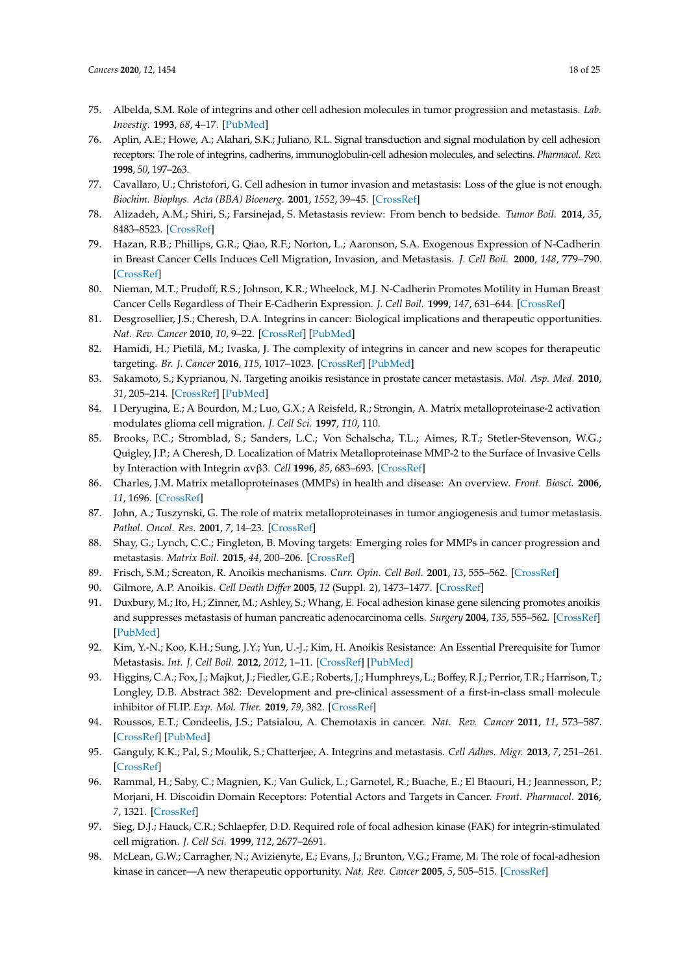- 75. Albelda, S.M. Role of integrins and other cell adhesion molecules in tumor progression and metastasis. *Lab. Investig.* **1993**, *68*, 4–17. [\[PubMed\]](http://www.ncbi.nlm.nih.gov/pubmed/8423675)
- <span id="page-17-0"></span>76. Aplin, A.E.; Howe, A.; Alahari, S.K.; Juliano, R.L. Signal transduction and signal modulation by cell adhesion receptors: The role of integrins, cadherins, immunoglobulin-cell adhesion molecules, and selectins. *Pharmacol. Rev.* **1998**, *50*, 197–263.
- <span id="page-17-1"></span>77. Cavallaro, U.; Christofori, G. Cell adhesion in tumor invasion and metastasis: Loss of the glue is not enough. *Biochim. Biophys. Acta (BBA) Bioenerg.* **2001**, *1552*, 39–45. [\[CrossRef\]](http://dx.doi.org/10.1016/S0304-419X(01)00038-5)
- <span id="page-17-2"></span>78. Alizadeh, A.M.; Shiri, S.; Farsinejad, S. Metastasis review: From bench to bedside. *Tumor Boil.* **2014**, *35*, 8483–8523. [\[CrossRef\]](http://dx.doi.org/10.1007/s13277-014-2421-z)
- <span id="page-17-3"></span>79. Hazan, R.B.; Phillips, G.R.; Qiao, R.F.; Norton, L.; Aaronson, S.A. Exogenous Expression of N-Cadherin in Breast Cancer Cells Induces Cell Migration, Invasion, and Metastasis. *J. Cell Boil.* **2000**, *148*, 779–790. [\[CrossRef\]](http://dx.doi.org/10.1083/jcb.148.4.779)
- <span id="page-17-4"></span>80. Nieman, M.T.; Prudoff, R.S.; Johnson, K.R.; Wheelock, M.J. N-Cadherin Promotes Motility in Human Breast Cancer Cells Regardless of Their E-Cadherin Expression. *J. Cell Boil.* **1999**, *147*, 631–644. [\[CrossRef\]](http://dx.doi.org/10.1083/jcb.147.3.631)
- <span id="page-17-5"></span>81. Desgrosellier, J.S.; Cheresh, D.A. Integrins in cancer: Biological implications and therapeutic opportunities. *Nat. Rev. Cancer* **2010**, *10*, 9–22. [\[CrossRef\]](http://dx.doi.org/10.1038/nrc2748) [\[PubMed\]](http://www.ncbi.nlm.nih.gov/pubmed/20029421)
- <span id="page-17-6"></span>82. Hamidi, H.; Pietilä, M.; Ivaska, J. The complexity of integrins in cancer and new scopes for therapeutic targeting. *Br. J. Cancer* **2016**, *115*, 1017–1023. [\[CrossRef\]](http://dx.doi.org/10.1038/bjc.2016.312) [\[PubMed\]](http://www.ncbi.nlm.nih.gov/pubmed/27685444)
- <span id="page-17-7"></span>83. Sakamoto, S.; Kyprianou, N. Targeting anoikis resistance in prostate cancer metastasis. *Mol. Asp. Med.* **2010**, *31*, 205–214. [\[CrossRef\]](http://dx.doi.org/10.1016/j.mam.2010.02.001) [\[PubMed\]](http://www.ncbi.nlm.nih.gov/pubmed/20153362)
- <span id="page-17-8"></span>84. I Deryugina, E.; A Bourdon, M.; Luo, G.X.; A Reisfeld, R.; Strongin, A. Matrix metalloproteinase-2 activation modulates glioma cell migration. *J. Cell Sci.* **1997**, *110*, 110.
- <span id="page-17-9"></span>85. Brooks, P.C.; Stromblad, S.; Sanders, L.C.; Von Schalscha, T.L.; Aimes, R.T.; Stetler-Stevenson, W.G.; Quigley, J.P.; A Cheresh, D. Localization of Matrix Metalloproteinase MMP-2 to the Surface of Invasive Cells by Interaction with Integrin αvβ3. *Cell* **1996**, *85*, 683–693. [\[CrossRef\]](http://dx.doi.org/10.1016/S0092-8674(00)81235-0)
- <span id="page-17-10"></span>86. Charles, J.M. Matrix metalloproteinases (MMPs) in health and disease: An overview. *Front. Biosci.* **2006**, *11*, 1696. [\[CrossRef\]](http://dx.doi.org/10.2741/1915)
- <span id="page-17-11"></span>87. John, A.; Tuszynski, G. The role of matrix metalloproteinases in tumor angiogenesis and tumor metastasis. *Pathol. Oncol. Res.* **2001**, *7*, 14–23. [\[CrossRef\]](http://dx.doi.org/10.1007/BF03032599)
- <span id="page-17-12"></span>88. Shay, G.; Lynch, C.C.; Fingleton, B. Moving targets: Emerging roles for MMPs in cancer progression and metastasis. *Matrix Boil.* **2015**, *44*, 200–206. [\[CrossRef\]](http://dx.doi.org/10.1016/j.matbio.2015.01.019)
- <span id="page-17-13"></span>89. Frisch, S.M.; Screaton, R. Anoikis mechanisms. *Curr. Opin. Cell Boil.* **2001**, *13*, 555–562. [\[CrossRef\]](http://dx.doi.org/10.1016/S0955-0674(00)00251-9)
- <span id="page-17-14"></span>90. Gilmore, A.P. Anoikis. *Cell Death Di*ff*er* **2005**, *12* (Suppl. 2), 1473–1477. [\[CrossRef\]](http://dx.doi.org/10.1038/sj.cdd.4401723)
- <span id="page-17-15"></span>91. Duxbury, M.; Ito, H.; Zinner, M.; Ashley, S.; Whang, E. Focal adhesion kinase gene silencing promotes anoikis and suppresses metastasis of human pancreatic adenocarcinoma cells. *Surgery* **2004**, *135*, 555–562. [\[CrossRef\]](http://dx.doi.org/10.1016/j.surg.2003.10.017) [\[PubMed\]](http://www.ncbi.nlm.nih.gov/pubmed/15118593)
- <span id="page-17-16"></span>92. Kim, Y.-N.; Koo, K.H.; Sung, J.Y.; Yun, U.-J.; Kim, H. Anoikis Resistance: An Essential Prerequisite for Tumor Metastasis. *Int. J. Cell Boil.* **2012**, *2012*, 1–11. [\[CrossRef\]](http://dx.doi.org/10.1155/2012/306879) [\[PubMed\]](http://www.ncbi.nlm.nih.gov/pubmed/22505926)
- <span id="page-17-17"></span>93. Higgins, C.A.; Fox, J.; Majkut, J.; Fiedler, G.E.; Roberts, J.; Humphreys, L.; Boffey, R.J.; Perrior, T.R.; Harrison, T.; Longley, D.B. Abstract 382: Development and pre-clinical assessment of a first-in-class small molecule inhibitor of FLIP. *Exp. Mol. Ther.* **2019**, *79*, 382. [\[CrossRef\]](http://dx.doi.org/10.1158/1538-7445.am2019-382)
- <span id="page-17-18"></span>94. Roussos, E.T.; Condeelis, J.S.; Patsialou, A. Chemotaxis in cancer. *Nat. Rev. Cancer* **2011**, *11*, 573–587. [\[CrossRef\]](http://dx.doi.org/10.1038/nrc3078) [\[PubMed\]](http://www.ncbi.nlm.nih.gov/pubmed/21779009)
- <span id="page-17-19"></span>95. Ganguly, K.K.; Pal, S.; Moulik, S.; Chatterjee, A. Integrins and metastasis. *Cell Adhes. Migr.* **2013**, *7*, 251–261. [\[CrossRef\]](http://dx.doi.org/10.4161/cam.23840)
- <span id="page-17-20"></span>96. Rammal, H.; Saby, C.; Magnien, K.; Van Gulick, L.; Garnotel, R.; Buache, E.; El Btaouri, H.; Jeannesson, P.; Morjani, H. Discoidin Domain Receptors: Potential Actors and Targets in Cancer. *Front. Pharmacol.* **2016**, *7*, 1321. [\[CrossRef\]](http://dx.doi.org/10.3389/fphar.2016.00055)
- <span id="page-17-21"></span>97. Sieg, D.J.; Hauck, C.R.; Schlaepfer, D.D. Required role of focal adhesion kinase (FAK) for integrin-stimulated cell migration. *J. Cell Sci.* **1999**, *112*, 2677–2691.
- 98. McLean, G.W.; Carragher, N.; Avizienyte, E.; Evans, J.; Brunton, V.G.; Frame, M. The role of focal-adhesion kinase in cancer—A new therapeutic opportunity. *Nat. Rev. Cancer* **2005**, *5*, 505–515. [\[CrossRef\]](http://dx.doi.org/10.1038/nrc1647)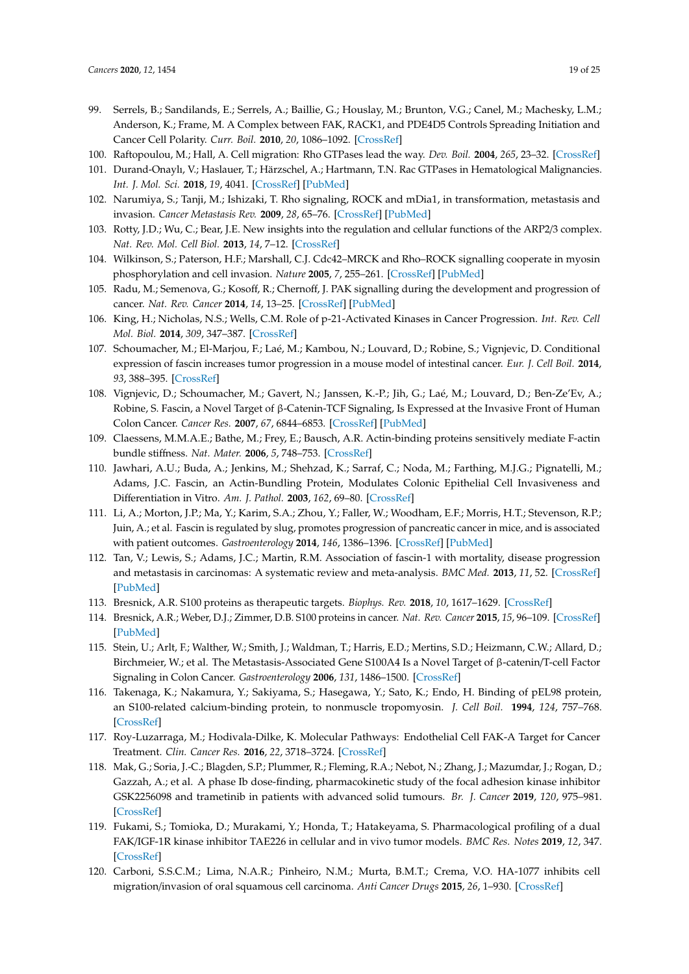- <span id="page-18-0"></span>99. Serrels, B.; Sandilands, E.; Serrels, A.; Baillie, G.; Houslay, M.; Brunton, V.G.; Canel, M.; Machesky, L.M.; Anderson, K.; Frame, M. A Complex between FAK, RACK1, and PDE4D5 Controls Spreading Initiation and Cancer Cell Polarity. *Curr. Boil.* **2010**, *20*, 1086–1092. [\[CrossRef\]](http://dx.doi.org/10.1016/j.cub.2010.04.042)
- <span id="page-18-1"></span>100. Raftopoulou, M.; Hall, A. Cell migration: Rho GTPases lead the way. *Dev. Boil.* **2004**, *265*, 23–32. [\[CrossRef\]](http://dx.doi.org/10.1016/j.ydbio.2003.06.003)
- <span id="page-18-2"></span>101. Durand-Onaylı, V.; Haslauer, T.; Härzschel, A.; Hartmann, T.N. Rac GTPases in Hematological Malignancies. *Int. J. Mol. Sci.* **2018**, *19*, 4041. [\[CrossRef\]](http://dx.doi.org/10.3390/ijms19124041) [\[PubMed\]](http://www.ncbi.nlm.nih.gov/pubmed/30558116)
- <span id="page-18-3"></span>102. Narumiya, S.; Tanji, M.; Ishizaki, T. Rho signaling, ROCK and mDia1, in transformation, metastasis and invasion. *Cancer Metastasis Rev.* **2009**, *28*, 65–76. [\[CrossRef\]](http://dx.doi.org/10.1007/s10555-008-9170-7) [\[PubMed\]](http://www.ncbi.nlm.nih.gov/pubmed/19160018)
- <span id="page-18-4"></span>103. Rotty, J.D.; Wu, C.; Bear, J.E. New insights into the regulation and cellular functions of the ARP2/3 complex. *Nat. Rev. Mol. Cell Biol.* **2013**, *14*, 7–12. [\[CrossRef\]](http://dx.doi.org/10.1038/nrm3492)
- <span id="page-18-5"></span>104. Wilkinson, S.; Paterson, H.F.; Marshall, C.J. Cdc42–MRCK and Rho–ROCK signalling cooperate in myosin phosphorylation and cell invasion. *Nature* **2005**, *7*, 255–261. [\[CrossRef\]](http://dx.doi.org/10.1038/ncb1230) [\[PubMed\]](http://www.ncbi.nlm.nih.gov/pubmed/15723050)
- <span id="page-18-6"></span>105. Radu, M.; Semenova, G.; Kosoff, R.; Chernoff, J. PAK signalling during the development and progression of cancer. *Nat. Rev. Cancer* **2014**, *14*, 13–25. [\[CrossRef\]](http://dx.doi.org/10.1038/nrc3645) [\[PubMed\]](http://www.ncbi.nlm.nih.gov/pubmed/24505617)
- <span id="page-18-7"></span>106. King, H.; Nicholas, N.S.; Wells, C.M. Role of p-21-Activated Kinases in Cancer Progression. *Int. Rev. Cell Mol. Biol.* **2014**, *309*, 347–387. [\[CrossRef\]](http://dx.doi.org/10.1016/b978-0-12-800255-1.00007-7)
- <span id="page-18-8"></span>107. Schoumacher, M.; El-Marjou, F.; Laé, M.; Kambou, N.; Louvard, D.; Robine, S.; Vignjevic, D. Conditional expression of fascin increases tumor progression in a mouse model of intestinal cancer. *Eur. J. Cell Boil.* **2014**, *93*, 388–395. [\[CrossRef\]](http://dx.doi.org/10.1016/j.ejcb.2014.08.002)
- 108. Vignjevic, D.; Schoumacher, M.; Gavert, N.; Janssen, K.-P.; Jih, G.; Laé, M.; Louvard, D.; Ben-Ze'Ev, A.; Robine, S. Fascin, a Novel Target of β-Catenin-TCF Signaling, Is Expressed at the Invasive Front of Human Colon Cancer. *Cancer Res.* **2007**, *67*, 6844–6853. [\[CrossRef\]](http://dx.doi.org/10.1158/0008-5472.CAN-07-0929) [\[PubMed\]](http://www.ncbi.nlm.nih.gov/pubmed/17638895)
- 109. Claessens, M.M.A.E.; Bathe, M.; Frey, E.; Bausch, A.R. Actin-binding proteins sensitively mediate F-actin bundle stiffness. *Nat. Mater.* **2006**, *5*, 748–753. [\[CrossRef\]](http://dx.doi.org/10.1038/nmat1718)
- <span id="page-18-9"></span>110. Jawhari, A.U.; Buda, A.; Jenkins, M.; Shehzad, K.; Sarraf, C.; Noda, M.; Farthing, M.J.G.; Pignatelli, M.; Adams, J.C. Fascin, an Actin-Bundling Protein, Modulates Colonic Epithelial Cell Invasiveness and Differentiation in Vitro. *Am. J. Pathol.* **2003**, *162*, 69–80. [\[CrossRef\]](http://dx.doi.org/10.1016/S0002-9440(10)63799-6)
- <span id="page-18-10"></span>111. Li, A.; Morton, J.P.; Ma, Y.; Karim, S.A.; Zhou, Y.; Faller, W.; Woodham, E.F.; Morris, H.T.; Stevenson, R.P.; Juin, A.; et al. Fascin is regulated by slug, promotes progression of pancreatic cancer in mice, and is associated with patient outcomes. *Gastroenterology* **2014**, *146*, 1386–1396. [\[CrossRef\]](http://dx.doi.org/10.1053/j.gastro.2014.01.046) [\[PubMed\]](http://www.ncbi.nlm.nih.gov/pubmed/24462734)
- <span id="page-18-11"></span>112. Tan, V.; Lewis, S.; Adams, J.C.; Martin, R.M. Association of fascin-1 with mortality, disease progression and metastasis in carcinomas: A systematic review and meta-analysis. *BMC Med.* **2013**, *11*, 52. [\[CrossRef\]](http://dx.doi.org/10.1186/1741-7015-11-52) [\[PubMed\]](http://www.ncbi.nlm.nih.gov/pubmed/23442983)
- <span id="page-18-12"></span>113. Bresnick, A.R. S100 proteins as therapeutic targets. *Biophys. Rev.* **2018**, *10*, 1617–1629. [\[CrossRef\]](http://dx.doi.org/10.1007/s12551-018-0471-y)
- 114. Bresnick, A.R.; Weber, D.J.; Zimmer, D.B. S100 proteins in cancer. *Nat. Rev. Cancer* **2015**, *15*, 96–109. [\[CrossRef\]](http://dx.doi.org/10.1038/nrc3893) [\[PubMed\]](http://www.ncbi.nlm.nih.gov/pubmed/25614008)
- 115. Stein, U.; Arlt, F.; Walther, W.; Smith, J.; Waldman, T.; Harris, E.D.; Mertins, S.D.; Heizmann, C.W.; Allard, D.; Birchmeier, W.; et al. The Metastasis-Associated Gene S100A4 Is a Novel Target of β-catenin/T-cell Factor Signaling in Colon Cancer. *Gastroenterology* **2006**, *131*, 1486–1500. [\[CrossRef\]](http://dx.doi.org/10.1053/j.gastro.2006.08.041)
- <span id="page-18-13"></span>116. Takenaga, K.; Nakamura, Y.; Sakiyama, S.; Hasegawa, Y.; Sato, K.; Endo, H. Binding of pEL98 protein, an S100-related calcium-binding protein, to nonmuscle tropomyosin. *J. Cell Boil.* **1994**, *124*, 757–768. [\[CrossRef\]](http://dx.doi.org/10.1083/jcb.124.5.757)
- <span id="page-18-14"></span>117. Roy-Luzarraga, M.; Hodivala-Dilke, K. Molecular Pathways: Endothelial Cell FAK-A Target for Cancer Treatment. *Clin. Cancer Res.* **2016**, *22*, 3718–3724. [\[CrossRef\]](http://dx.doi.org/10.1158/1078-0432.CCR-14-2021)
- <span id="page-18-15"></span>118. Mak, G.; Soria, J.-C.; Blagden, S.P.; Plummer, R.; Fleming, R.A.; Nebot, N.; Zhang, J.; Mazumdar, J.; Rogan, D.; Gazzah, A.; et al. A phase Ib dose-finding, pharmacokinetic study of the focal adhesion kinase inhibitor GSK2256098 and trametinib in patients with advanced solid tumours. *Br. J. Cancer* **2019**, *120*, 975–981. [\[CrossRef\]](http://dx.doi.org/10.1038/s41416-019-0452-3)
- <span id="page-18-16"></span>119. Fukami, S.; Tomioka, D.; Murakami, Y.; Honda, T.; Hatakeyama, S. Pharmacological profiling of a dual FAK/IGF-1R kinase inhibitor TAE226 in cellular and in vivo tumor models. *BMC Res. Notes* **2019**, *12*, 347. [\[CrossRef\]](http://dx.doi.org/10.1186/s13104-019-4389-7)
- <span id="page-18-17"></span>120. Carboni, S.S.C.M.; Lima, N.A.R.; Pinheiro, N.M.; Murta, B.M.T.; Crema, V.O. HA-1077 inhibits cell migration/invasion of oral squamous cell carcinoma. *Anti Cancer Drugs* **2015**, *26*, 1–930. [\[CrossRef\]](http://dx.doi.org/10.1097/cad.0000000000000267)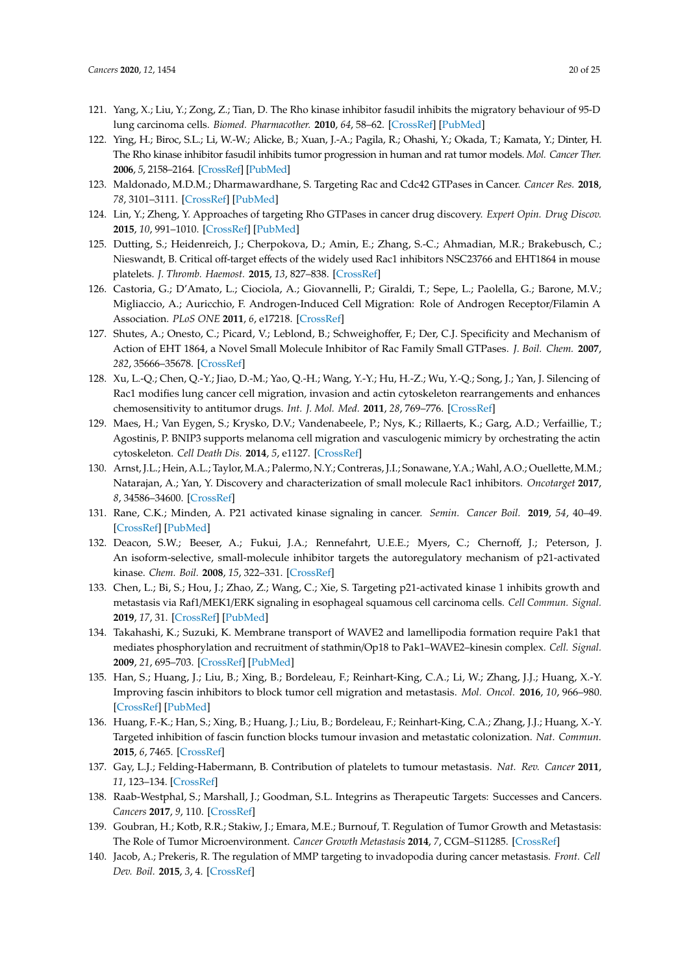- 121. Yang, X.; Liu, Y.; Zong, Z.; Tian, D. The Rho kinase inhibitor fasudil inhibits the migratory behaviour of 95-D lung carcinoma cells. *Biomed. Pharmacother.* **2010**, *64*, 58–62. [\[CrossRef\]](http://dx.doi.org/10.1016/j.biopha.2009.08.006) [\[PubMed\]](http://www.ncbi.nlm.nih.gov/pubmed/19879105)
- <span id="page-19-0"></span>122. Ying, H.; Biroc, S.L.; Li, W.-W.; Alicke, B.; Xuan, J.-A.; Pagila, R.; Ohashi, Y.; Okada, T.; Kamata, Y.; Dinter, H. The Rho kinase inhibitor fasudil inhibits tumor progression in human and rat tumor models. *Mol. Cancer Ther.* **2006**, *5*, 2158–2164. [\[CrossRef\]](http://dx.doi.org/10.1158/1535-7163.MCT-05-0440) [\[PubMed\]](http://www.ncbi.nlm.nih.gov/pubmed/16985048)
- <span id="page-19-1"></span>123. Maldonado, M.D.M.; Dharmawardhane, S. Targeting Rac and Cdc42 GTPases in Cancer. *Cancer Res.* **2018**, *78*, 3101–3111. [\[CrossRef\]](http://dx.doi.org/10.1158/0008-5472.CAN-18-0619) [\[PubMed\]](http://www.ncbi.nlm.nih.gov/pubmed/29858187)
- <span id="page-19-2"></span>124. Lin, Y.; Zheng, Y. Approaches of targeting Rho GTPases in cancer drug discovery. *Expert Opin. Drug Discov.* **2015**, *10*, 991–1010. [\[CrossRef\]](http://dx.doi.org/10.1517/17460441.2015.1058775) [\[PubMed\]](http://www.ncbi.nlm.nih.gov/pubmed/26087073)
- <span id="page-19-3"></span>125. Dutting, S.; Heidenreich, J.; Cherpokova, D.; Amin, E.; Zhang, S.-C.; Ahmadian, M.R.; Brakebusch, C.; Nieswandt, B. Critical off-target effects of the widely used Rac1 inhibitors NSC23766 and EHT1864 in mouse platelets. *J. Thromb. Haemost.* **2015**, *13*, 827–838. [\[CrossRef\]](http://dx.doi.org/10.1111/jth.12861)
- 126. Castoria, G.; D'Amato, L.; Ciociola, A.; Giovannelli, P.; Giraldi, T.; Sepe, L.; Paolella, G.; Barone, M.V.; Migliaccio, A.; Auricchio, F. Androgen-Induced Cell Migration: Role of Androgen Receptor/Filamin A Association. *PLoS ONE* **2011**, *6*, e17218. [\[CrossRef\]](http://dx.doi.org/10.1371/journal.pone.0017218)
- <span id="page-19-4"></span>127. Shutes, A.; Onesto, C.; Picard, V.; Leblond, B.; Schweighoffer, F.; Der, C.J. Specificity and Mechanism of Action of EHT 1864, a Novel Small Molecule Inhibitor of Rac Family Small GTPases. *J. Boil. Chem.* **2007**, *282*, 35666–35678. [\[CrossRef\]](http://dx.doi.org/10.1074/jbc.M703571200)
- <span id="page-19-5"></span>128. Xu, L.-Q.; Chen, Q.-Y.; Jiao, D.-M.; Yao, Q.-H.; Wang, Y.-Y.; Hu, H.-Z.; Wu, Y.-Q.; Song, J.; Yan, J. Silencing of Rac1 modifies lung cancer cell migration, invasion and actin cytoskeleton rearrangements and enhances chemosensitivity to antitumor drugs. *Int. J. Mol. Med.* **2011**, *28*, 769–776. [\[CrossRef\]](http://dx.doi.org/10.3892/ijmm.2011.775)
- <span id="page-19-6"></span>129. Maes, H.; Van Eygen, S.; Krysko, D.V.; Vandenabeele, P.; Nys, K.; Rillaerts, K.; Garg, A.D.; Verfaillie, T.; Agostinis, P. BNIP3 supports melanoma cell migration and vasculogenic mimicry by orchestrating the actin cytoskeleton. *Cell Death Dis.* **2014**, *5*, e1127. [\[CrossRef\]](http://dx.doi.org/10.1038/cddis.2014.94)
- <span id="page-19-7"></span>130. Arnst, J.L.; Hein, A.L.; Taylor, M.A.; Palermo, N.Y.; Contreras, J.I.; Sonawane, Y.A.; Wahl, A.O.; Ouellette, M.M.; Natarajan, A.; Yan, Y. Discovery and characterization of small molecule Rac1 inhibitors. *Oncotarget* **2017**, *8*, 34586–34600. [\[CrossRef\]](http://dx.doi.org/10.18632/oncotarget.16656)
- <span id="page-19-8"></span>131. Rane, C.K.; Minden, A. P21 activated kinase signaling in cancer. *Semin. Cancer Boil.* **2019**, *54*, 40–49. [\[CrossRef\]](http://dx.doi.org/10.1016/j.semcancer.2018.01.006) [\[PubMed\]](http://www.ncbi.nlm.nih.gov/pubmed/29330094)
- <span id="page-19-9"></span>132. Deacon, S.W.; Beeser, A.; Fukui, J.A.; Rennefahrt, U.E.E.; Myers, C.; Chernoff, J.; Peterson, J. An isoform-selective, small-molecule inhibitor targets the autoregulatory mechanism of p21-activated kinase. *Chem. Boil.* **2008**, *15*, 322–331. [\[CrossRef\]](http://dx.doi.org/10.1016/j.chembiol.2008.03.005)
- <span id="page-19-10"></span>133. Chen, L.; Bi, S.; Hou, J.; Zhao, Z.; Wang, C.; Xie, S. Targeting p21-activated kinase 1 inhibits growth and metastasis via Raf1/MEK1/ERK signaling in esophageal squamous cell carcinoma cells. *Cell Commun. Signal.* **2019**, *17*, 31. [\[CrossRef\]](http://dx.doi.org/10.1186/s12964-019-0343-5) [\[PubMed\]](http://www.ncbi.nlm.nih.gov/pubmed/30971268)
- <span id="page-19-11"></span>134. Takahashi, K.; Suzuki, K. Membrane transport of WAVE2 and lamellipodia formation require Pak1 that mediates phosphorylation and recruitment of stathmin/Op18 to Pak1–WAVE2–kinesin complex. *Cell. Signal.* **2009**, *21*, 695–703. [\[CrossRef\]](http://dx.doi.org/10.1016/j.cellsig.2009.01.007) [\[PubMed\]](http://www.ncbi.nlm.nih.gov/pubmed/19162178)
- <span id="page-19-12"></span>135. Han, S.; Huang, J.; Liu, B.; Xing, B.; Bordeleau, F.; Reinhart-King, C.A.; Li, W.; Zhang, J.J.; Huang, X.-Y. Improving fascin inhibitors to block tumor cell migration and metastasis. *Mol. Oncol.* **2016**, *10*, 966–980. [\[CrossRef\]](http://dx.doi.org/10.1016/j.molonc.2016.03.006) [\[PubMed\]](http://www.ncbi.nlm.nih.gov/pubmed/27071719)
- <span id="page-19-13"></span>136. Huang, F.-K.; Han, S.; Xing, B.; Huang, J.; Liu, B.; Bordeleau, F.; Reinhart-King, C.A.; Zhang, J.J.; Huang, X.-Y. Targeted inhibition of fascin function blocks tumour invasion and metastatic colonization. *Nat. Commun.* **2015**, *6*, 7465. [\[CrossRef\]](http://dx.doi.org/10.1038/ncomms8465)
- <span id="page-19-14"></span>137. Gay, L.J.; Felding-Habermann, B. Contribution of platelets to tumour metastasis. *Nat. Rev. Cancer* **2011**, *11*, 123–134. [\[CrossRef\]](http://dx.doi.org/10.1038/nrc3004)
- <span id="page-19-15"></span>138. Raab-Westphal, S.; Marshall, J.; Goodman, S.L. Integrins as Therapeutic Targets: Successes and Cancers. *Cancers* **2017**, *9*, 110. [\[CrossRef\]](http://dx.doi.org/10.3390/cancers9090110)
- <span id="page-19-16"></span>139. Goubran, H.; Kotb, R.R.; Stakiw, J.; Emara, M.E.; Burnouf, T. Regulation of Tumor Growth and Metastasis: The Role of Tumor Microenvironment. *Cancer Growth Metastasis* **2014**, *7*, CGM–S11285. [\[CrossRef\]](http://dx.doi.org/10.4137/CGM.S11285)
- <span id="page-19-17"></span>140. Jacob, A.; Prekeris, R. The regulation of MMP targeting to invadopodia during cancer metastasis. *Front. Cell Dev. Boil.* **2015**, *3*, 4. [\[CrossRef\]](http://dx.doi.org/10.3389/fcell.2015.00004)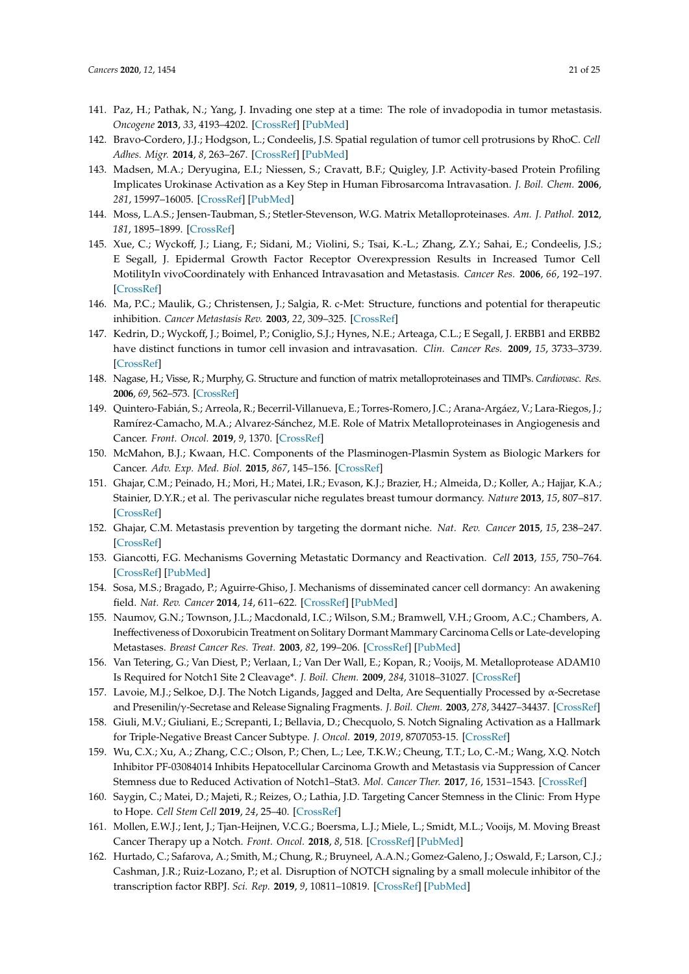- <span id="page-20-1"></span>141. Paz, H.; Pathak, N.; Yang, J. Invading one step at a time: The role of invadopodia in tumor metastasis. *Oncogene* **2013**, *33*, 4193–4202. [\[CrossRef\]](http://dx.doi.org/10.1038/onc.2013.393) [\[PubMed\]](http://www.ncbi.nlm.nih.gov/pubmed/24077283)
- <span id="page-20-0"></span>142. Bravo-Cordero, J.J.; Hodgson, L.; Condeelis, J.S. Spatial regulation of tumor cell protrusions by RhoC. *Cell Adhes. Migr.* **2014**, *8*, 263–267. [\[CrossRef\]](http://dx.doi.org/10.4161/cam.28405) [\[PubMed\]](http://www.ncbi.nlm.nih.gov/pubmed/24642482)
- <span id="page-20-2"></span>143. Madsen, M.A.; Deryugina, E.I.; Niessen, S.; Cravatt, B.F.; Quigley, J.P. Activity-based Protein Profiling Implicates Urokinase Activation as a Key Step in Human Fibrosarcoma Intravasation. *J. Boil. Chem.* **2006**, *281*, 15997–16005. [\[CrossRef\]](http://dx.doi.org/10.1074/jbc.M601223200) [\[PubMed\]](http://www.ncbi.nlm.nih.gov/pubmed/16611636)
- <span id="page-20-3"></span>144. Moss, L.A.S.; Jensen-Taubman, S.; Stetler-Stevenson, W.G. Matrix Metalloproteinases. *Am. J. Pathol.* **2012**, *181*, 1895–1899. [\[CrossRef\]](http://dx.doi.org/10.1016/j.ajpath.2012.08.044)
- <span id="page-20-4"></span>145. Xue, C.; Wyckoff, J.; Liang, F.; Sidani, M.; Violini, S.; Tsai, K.-L.; Zhang, Z.Y.; Sahai, E.; Condeelis, J.S.; E Segall, J. Epidermal Growth Factor Receptor Overexpression Results in Increased Tumor Cell MotilityIn vivoCoordinately with Enhanced Intravasation and Metastasis. *Cancer Res.* **2006**, *66*, 192–197. [\[CrossRef\]](http://dx.doi.org/10.1158/0008-5472.CAN-05-1242)
- 146. Ma, P.C.; Maulik, G.; Christensen, J.; Salgia, R. c-Met: Structure, functions and potential for therapeutic inhibition. *Cancer Metastasis Rev.* **2003**, *22*, 309–325. [\[CrossRef\]](http://dx.doi.org/10.1023/A:1023768811842)
- <span id="page-20-5"></span>147. Kedrin, D.; Wyckoff, J.; Boimel, P.; Coniglio, S.J.; Hynes, N.E.; Arteaga, C.L.; E Segall, J. ERBB1 and ERBB2 have distinct functions in tumor cell invasion and intravasation. *Clin. Cancer Res.* **2009**, *15*, 3733–3739. [\[CrossRef\]](http://dx.doi.org/10.1158/1078-0432.CCR-08-2163)
- <span id="page-20-6"></span>148. Nagase, H.; Visse, R.; Murphy, G. Structure and function of matrix metalloproteinases and TIMPs. *Cardiovasc. Res.* **2006**, *69*, 562–573. [\[CrossRef\]](http://dx.doi.org/10.1016/j.cardiores.2005.12.002)
- <span id="page-20-7"></span>149. Quintero-Fabián, S.; Arreola, R.; Becerril-Villanueva, E.; Torres-Romero, J.C.; Arana-Argáez, V.; Lara-Riegos, J.; Ramírez-Camacho, M.A.; Alvarez-Sánchez, M.E. Role of Matrix Metalloproteinases in Angiogenesis and Cancer. *Front. Oncol.* **2019**, *9*, 1370. [\[CrossRef\]](http://dx.doi.org/10.3389/fonc.2019.01370)
- <span id="page-20-8"></span>150. McMahon, B.J.; Kwaan, H.C. Components of the Plasminogen-Plasmin System as Biologic Markers for Cancer. *Adv. Exp. Med. Biol.* **2015**, *867*, 145–156. [\[CrossRef\]](http://dx.doi.org/10.1007/978-94-017-7215-0_10)
- <span id="page-20-9"></span>151. Ghajar, C.M.; Peinado, H.; Mori, H.; Matei, I.R.; Evason, K.J.; Brazier, H.; Almeida, D.; Koller, A.; Hajjar, K.A.; Stainier, D.Y.R.; et al. The perivascular niche regulates breast tumour dormancy. *Nature* **2013**, *15*, 807–817. [\[CrossRef\]](http://dx.doi.org/10.1038/ncb2767)
- 152. Ghajar, C.M. Metastasis prevention by targeting the dormant niche. *Nat. Rev. Cancer* **2015**, *15*, 238–247. [\[CrossRef\]](http://dx.doi.org/10.1038/nrc3910)
- 153. Giancotti, F.G. Mechanisms Governing Metastatic Dormancy and Reactivation. *Cell* **2013**, *155*, 750–764. [\[CrossRef\]](http://dx.doi.org/10.1016/j.cell.2013.10.029) [\[PubMed\]](http://www.ncbi.nlm.nih.gov/pubmed/24209616)
- <span id="page-20-10"></span>154. Sosa, M.S.; Bragado, P.; Aguirre-Ghiso, J. Mechanisms of disseminated cancer cell dormancy: An awakening field. *Nat. Rev. Cancer* **2014**, *14*, 611–622. [\[CrossRef\]](http://dx.doi.org/10.1038/nrc3793) [\[PubMed\]](http://www.ncbi.nlm.nih.gov/pubmed/25118602)
- <span id="page-20-11"></span>155. Naumov, G.N.; Townson, J.L.; Macdonald, I.C.; Wilson, S.M.; Bramwell, V.H.; Groom, A.C.; Chambers, A. Ineffectiveness of Doxorubicin Treatment on Solitary Dormant Mammary Carcinoma Cells or Late-developing Metastases. *Breast Cancer Res. Treat.* **2003**, *82*, 199–206. [\[CrossRef\]](http://dx.doi.org/10.1023/B:BREA.0000004377.12288.3c) [\[PubMed\]](http://www.ncbi.nlm.nih.gov/pubmed/14703067)
- <span id="page-20-12"></span>156. Van Tetering, G.; Van Diest, P.; Verlaan, I.; Van Der Wall, E.; Kopan, R.; Vooijs, M. Metalloprotease ADAM10 Is Required for Notch1 Site 2 Cleavage\*. *J. Boil. Chem.* **2009**, *284*, 31018–31027. [\[CrossRef\]](http://dx.doi.org/10.1074/jbc.M109.006775)
- <span id="page-20-13"></span>157. Lavoie, M.J.; Selkoe, D.J. The Notch Ligands, Jagged and Delta, Are Sequentially Processed by α-Secretase and Presenilin/γ-Secretase and Release Signaling Fragments. *J. Boil. Chem.* **2003**, *278*, 34427–34437. [\[CrossRef\]](http://dx.doi.org/10.1074/jbc.M302659200)
- <span id="page-20-14"></span>158. Giuli, M.V.; Giuliani, E.; Screpanti, I.; Bellavia, D.; Checquolo, S. Notch Signaling Activation as a Hallmark for Triple-Negative Breast Cancer Subtype. *J. Oncol.* **2019**, *2019*, 8707053-15. [\[CrossRef\]](http://dx.doi.org/10.1155/2019/8707053)
- <span id="page-20-15"></span>159. Wu, C.X.; Xu, A.; Zhang, C.C.; Olson, P.; Chen, L.; Lee, T.K.W.; Cheung, T.T.; Lo, C.-M.; Wang, X.Q. Notch Inhibitor PF-03084014 Inhibits Hepatocellular Carcinoma Growth and Metastasis via Suppression of Cancer Stemness due to Reduced Activation of Notch1–Stat3. *Mol. Cancer Ther.* **2017**, *16*, 1531–1543. [\[CrossRef\]](http://dx.doi.org/10.1158/1535-7163.MCT-17-0001)
- <span id="page-20-16"></span>160. Saygin, C.; Matei, D.; Majeti, R.; Reizes, O.; Lathia, J.D. Targeting Cancer Stemness in the Clinic: From Hype to Hope. *Cell Stem Cell* **2019**, *24*, 25–40. [\[CrossRef\]](http://dx.doi.org/10.1016/j.stem.2018.11.017)
- <span id="page-20-17"></span>161. Mollen, E.W.J.; Ient, J.; Tjan-Heijnen, V.C.G.; Boersma, L.J.; Miele, L.; Smidt, M.L.; Vooijs, M. Moving Breast Cancer Therapy up a Notch. *Front. Oncol.* **2018**, *8*, 518. [\[CrossRef\]](http://dx.doi.org/10.3389/fonc.2018.00518) [\[PubMed\]](http://www.ncbi.nlm.nih.gov/pubmed/30515368)
- <span id="page-20-18"></span>162. Hurtado, C.; Safarova, A.; Smith, M.; Chung, R.; Bruyneel, A.A.N.; Gomez-Galeno, J.; Oswald, F.; Larson, C.J.; Cashman, J.R.; Ruiz-Lozano, P.; et al. Disruption of NOTCH signaling by a small molecule inhibitor of the transcription factor RBPJ. *Sci. Rep.* **2019**, *9*, 10811–10819. [\[CrossRef\]](http://dx.doi.org/10.1038/s41598-019-46948-5) [\[PubMed\]](http://www.ncbi.nlm.nih.gov/pubmed/31346210)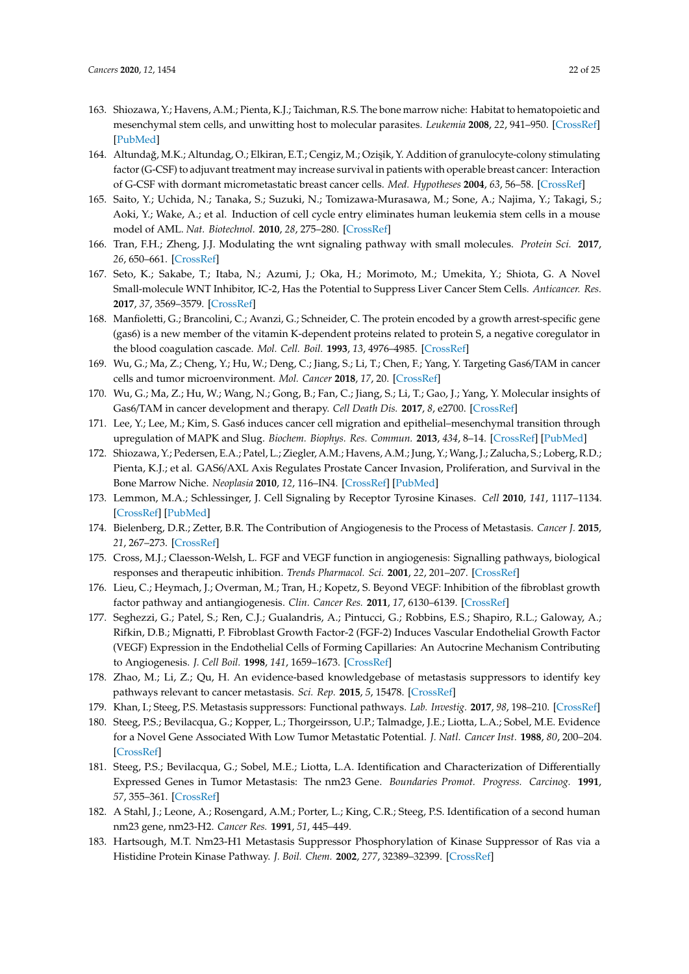- <span id="page-21-0"></span>163. Shiozawa, Y.; Havens, A.M.; Pienta, K.J.; Taichman, R.S. The bone marrow niche: Habitat to hematopoietic and mesenchymal stem cells, and unwitting host to molecular parasites. *Leukemia* **2008**, *22*, 941–950. [\[CrossRef\]](http://dx.doi.org/10.1038/leu.2008.48) [\[PubMed\]](http://www.ncbi.nlm.nih.gov/pubmed/18305549)
- <span id="page-21-1"></span>164. Altundağ, M.K.; Altundag, O.; Elkiran, E.T.; Cengiz, M.; Ozişik, Y. Addition of granulocyte-colony stimulating factor (G-CSF) to adjuvant treatment may increase survival in patients with operable breast cancer: Interaction of G-CSF with dormant micrometastatic breast cancer cells. *Med. Hypotheses* **2004**, *63*, 56–58. [\[CrossRef\]](http://dx.doi.org/10.1016/j.mehy.2004.01.030)
- <span id="page-21-2"></span>165. Saito, Y.; Uchida, N.; Tanaka, S.; Suzuki, N.; Tomizawa-Murasawa, M.; Sone, A.; Najima, Y.; Takagi, S.; Aoki, Y.; Wake, A.; et al. Induction of cell cycle entry eliminates human leukemia stem cells in a mouse model of AML. *Nat. Biotechnol.* **2010**, *28*, 275–280. [\[CrossRef\]](http://dx.doi.org/10.1038/nbt.1607)
- <span id="page-21-3"></span>166. Tran, F.H.; Zheng, J.J. Modulating the wnt signaling pathway with small molecules. *Protein Sci.* **2017**, *26*, 650–661. [\[CrossRef\]](http://dx.doi.org/10.1002/pro.3122)
- <span id="page-21-4"></span>167. Seto, K.; Sakabe, T.; Itaba, N.; Azumi, J.; Oka, H.; Morimoto, M.; Umekita, Y.; Shiota, G. A Novel Small-molecule WNT Inhibitor, IC-2, Has the Potential to Suppress Liver Cancer Stem Cells. *Anticancer. Res.* **2017**, *37*, 3569–3579. [\[CrossRef\]](http://dx.doi.org/10.21873/anticanres.11727)
- <span id="page-21-5"></span>168. Manfioletti, G.; Brancolini, C.; Avanzi, G.; Schneider, C. The protein encoded by a growth arrest-specific gene (gas6) is a new member of the vitamin K-dependent proteins related to protein S, a negative coregulator in the blood coagulation cascade. *Mol. Cell. Boil.* **1993**, *13*, 4976–4985. [\[CrossRef\]](http://dx.doi.org/10.1128/MCB.13.8.4976)
- <span id="page-21-6"></span>169. Wu, G.; Ma, Z.; Cheng, Y.; Hu, W.; Deng, C.; Jiang, S.; Li, T.; Chen, F.; Yang, Y. Targeting Gas6/TAM in cancer cells and tumor microenvironment. *Mol. Cancer* **2018**, *17*, 20. [\[CrossRef\]](http://dx.doi.org/10.1186/s12943-018-0769-1)
- <span id="page-21-7"></span>170. Wu, G.; Ma, Z.; Hu, W.; Wang, N.; Gong, B.; Fan, C.; Jiang, S.; Li, T.; Gao, J.; Yang, Y. Molecular insights of Gas6/TAM in cancer development and therapy. *Cell Death Dis.* **2017**, *8*, e2700. [\[CrossRef\]](http://dx.doi.org/10.1038/cddis.2017.113)
- <span id="page-21-8"></span>171. Lee, Y.; Lee, M.; Kim, S. Gas6 induces cancer cell migration and epithelial–mesenchymal transition through upregulation of MAPK and Slug. *Biochem. Biophys. Res. Commun.* **2013**, *434*, 8–14. [\[CrossRef\]](http://dx.doi.org/10.1016/j.bbrc.2013.03.082) [\[PubMed\]](http://www.ncbi.nlm.nih.gov/pubmed/23567973)
- <span id="page-21-9"></span>172. Shiozawa, Y.; Pedersen, E.A.; Patel, L.; Ziegler, A.M.; Havens, A.M.; Jung, Y.; Wang, J.; Zalucha, S.; Loberg, R.D.; Pienta, K.J.; et al. GAS6/AXL Axis Regulates Prostate Cancer Invasion, Proliferation, and Survival in the Bone Marrow Niche. *Neoplasia* **2010**, *12*, 116–IN4. [\[CrossRef\]](http://dx.doi.org/10.1593/neo.91384) [\[PubMed\]](http://www.ncbi.nlm.nih.gov/pubmed/20126470)
- <span id="page-21-10"></span>173. Lemmon, M.A.; Schlessinger, J. Cell Signaling by Receptor Tyrosine Kinases. *Cell* **2010**, *141*, 1117–1134. [\[CrossRef\]](http://dx.doi.org/10.1016/j.cell.2010.06.011) [\[PubMed\]](http://www.ncbi.nlm.nih.gov/pubmed/20602996)
- <span id="page-21-11"></span>174. Bielenberg, D.R.; Zetter, B.R. The Contribution of Angiogenesis to the Process of Metastasis. *Cancer J.* **2015**, *21*, 267–273. [\[CrossRef\]](http://dx.doi.org/10.1097/PPO.0000000000000138)
- <span id="page-21-12"></span>175. Cross, M.J.; Claesson-Welsh, L. FGF and VEGF function in angiogenesis: Signalling pathways, biological responses and therapeutic inhibition. *Trends Pharmacol. Sci.* **2001**, *22*, 201–207. [\[CrossRef\]](http://dx.doi.org/10.1016/S0165-6147(00)01676-X)
- 176. Lieu, C.; Heymach, J.; Overman, M.; Tran, H.; Kopetz, S. Beyond VEGF: Inhibition of the fibroblast growth factor pathway and antiangiogenesis. *Clin. Cancer Res.* **2011**, *17*, 6130–6139. [\[CrossRef\]](http://dx.doi.org/10.1158/1078-0432.CCR-11-0659)
- <span id="page-21-13"></span>177. Seghezzi, G.; Patel, S.; Ren, C.J.; Gualandris, A.; Pintucci, G.; Robbins, E.S.; Shapiro, R.L.; Galoway, A.; Rifkin, D.B.; Mignatti, P. Fibroblast Growth Factor-2 (FGF-2) Induces Vascular Endothelial Growth Factor (VEGF) Expression in the Endothelial Cells of Forming Capillaries: An Autocrine Mechanism Contributing to Angiogenesis. *J. Cell Boil.* **1998**, *141*, 1659–1673. [\[CrossRef\]](http://dx.doi.org/10.1083/jcb.141.7.1659)
- <span id="page-21-14"></span>178. Zhao, M.; Li, Z.; Qu, H. An evidence-based knowledgebase of metastasis suppressors to identify key pathways relevant to cancer metastasis. *Sci. Rep.* **2015**, *5*, 15478. [\[CrossRef\]](http://dx.doi.org/10.1038/srep15478)
- <span id="page-21-15"></span>179. Khan, I.; Steeg, P.S. Metastasis suppressors: Functional pathways. *Lab. Investig.* **2017**, *98*, 198–210. [\[CrossRef\]](http://dx.doi.org/10.1038/labinvest.2017.104)
- <span id="page-21-16"></span>180. Steeg, P.S.; Bevilacqua, G.; Kopper, L.; Thorgeirsson, U.P.; Talmadge, J.E.; Liotta, L.A.; Sobel, M.E. Evidence for a Novel Gene Associated With Low Tumor Metastatic Potential. *J. Natl. Cancer Inst.* **1988**, *80*, 200–204. [\[CrossRef\]](http://dx.doi.org/10.1093/jnci/80.3.200)
- 181. Steeg, P.S.; Bevilacqua, G.; Sobel, M.E.; Liotta, L.A. Identification and Characterization of Differentially Expressed Genes in Tumor Metastasis: The nm23 Gene. *Boundaries Promot. Progress. Carcinog.* **1991**, *57*, 355–361. [\[CrossRef\]](http://dx.doi.org/10.1007/978-1-4684-5994-4_29)
- <span id="page-21-17"></span>182. A Stahl, J.; Leone, A.; Rosengard, A.M.; Porter, L.; King, C.R.; Steeg, P.S. Identification of a second human nm23 gene, nm23-H2. *Cancer Res.* **1991**, *51*, 445–449.
- <span id="page-21-18"></span>183. Hartsough, M.T. Nm23-H1 Metastasis Suppressor Phosphorylation of Kinase Suppressor of Ras via a Histidine Protein Kinase Pathway. *J. Boil. Chem.* **2002**, *277*, 32389–32399. [\[CrossRef\]](http://dx.doi.org/10.1074/jbc.M203115200)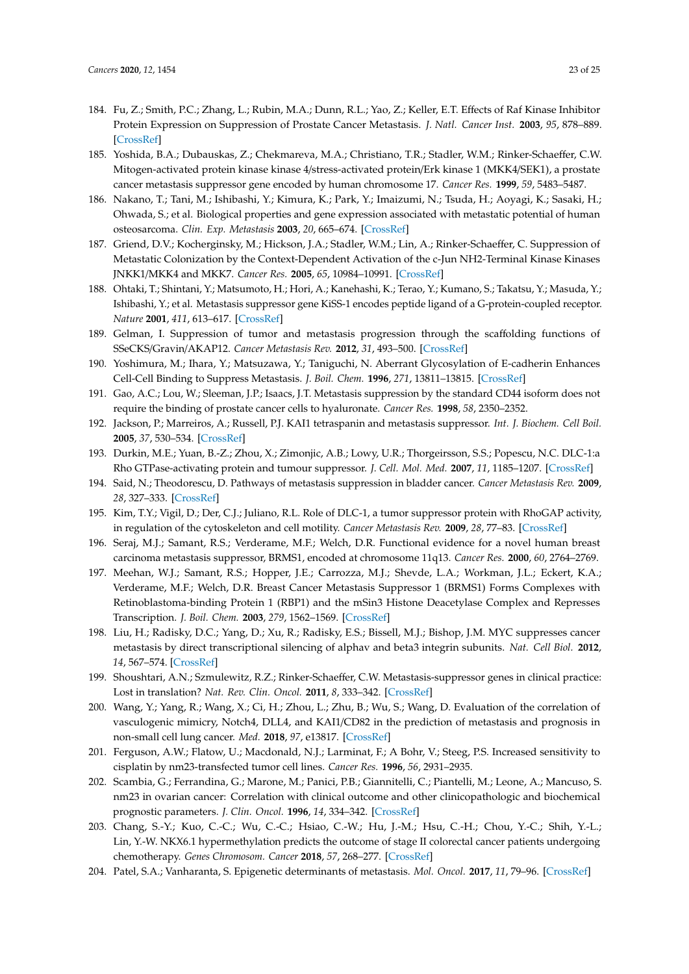- <span id="page-22-0"></span>184. Fu, Z.; Smith, P.C.; Zhang, L.; Rubin, M.A.; Dunn, R.L.; Yao, Z.; Keller, E.T. Effects of Raf Kinase Inhibitor Protein Expression on Suppression of Prostate Cancer Metastasis. *J. Natl. Cancer Inst.* **2003**, *95*, 878–889. [\[CrossRef\]](http://dx.doi.org/10.1093/jnci/95.12.878)
- 185. Yoshida, B.A.; Dubauskas, Z.; Chekmareva, M.A.; Christiano, T.R.; Stadler, W.M.; Rinker-Schaeffer, C.W. Mitogen-activated protein kinase kinase 4/stress-activated protein/Erk kinase 1 (MKK4/SEK1), a prostate cancer metastasis suppressor gene encoded by human chromosome 17. *Cancer Res.* **1999**, *59*, 5483–5487.
- 186. Nakano, T.; Tani, M.; Ishibashi, Y.; Kimura, K.; Park, Y.; Imaizumi, N.; Tsuda, H.; Aoyagi, K.; Sasaki, H.; Ohwada, S.; et al. Biological properties and gene expression associated with metastatic potential of human osteosarcoma. *Clin. Exp. Metastasis* **2003**, *20*, 665–674. [\[CrossRef\]](http://dx.doi.org/10.1023/A:1027355610603)
- <span id="page-22-1"></span>187. Griend, D.V.; Kocherginsky, M.; Hickson, J.A.; Stadler, W.M.; Lin, A.; Rinker-Schaeffer, C. Suppression of Metastatic Colonization by the Context-Dependent Activation of the c-Jun NH2-Terminal Kinase Kinases JNKK1/MKK4 and MKK7. *Cancer Res.* **2005**, *65*, 10984–10991. [\[CrossRef\]](http://dx.doi.org/10.1158/0008-5472.CAN-05-2382)
- <span id="page-22-2"></span>188. Ohtaki, T.; Shintani, Y.; Matsumoto, H.; Hori, A.; Kanehashi, K.; Terao, Y.; Kumano, S.; Takatsu, Y.; Masuda, Y.; Ishibashi, Y.; et al. Metastasis suppressor gene KiSS-1 encodes peptide ligand of a G-protein-coupled receptor. *Nature* **2001**, *411*, 613–617. [\[CrossRef\]](http://dx.doi.org/10.1038/35079135)
- <span id="page-22-3"></span>189. Gelman, I. Suppression of tumor and metastasis progression through the scaffolding functions of SSeCKS/Gravin/AKAP12. *Cancer Metastasis Rev.* **2012**, *31*, 493–500. [\[CrossRef\]](http://dx.doi.org/10.1007/s10555-012-9360-1)
- <span id="page-22-4"></span>190. Yoshimura, M.; Ihara, Y.; Matsuzawa, Y.; Taniguchi, N. Aberrant Glycosylation of E-cadherin Enhances Cell-Cell Binding to Suppress Metastasis. *J. Boil. Chem.* **1996**, *271*, 13811–13815. [\[CrossRef\]](http://dx.doi.org/10.1074/jbc.271.23.13811)
- 191. Gao, A.C.; Lou, W.; Sleeman, J.P.; Isaacs, J.T. Metastasis suppression by the standard CD44 isoform does not require the binding of prostate cancer cells to hyaluronate. *Cancer Res.* **1998**, *58*, 2350–2352.
- <span id="page-22-5"></span>192. Jackson, P.; Marreiros, A.; Russell, P.J. KAI1 tetraspanin and metastasis suppressor. *Int. J. Biochem. Cell Boil.* **2005**, *37*, 530–534. [\[CrossRef\]](http://dx.doi.org/10.1016/j.biocel.2004.08.009)
- <span id="page-22-6"></span>193. Durkin, M.E.; Yuan, B.-Z.; Zhou, X.; Zimonjic, A.B.; Lowy, U.R.; Thorgeirsson, S.S.; Popescu, N.C. DLC-1:a Rho GTPase-activating protein and tumour suppressor. *J. Cell. Mol. Med.* **2007**, *11*, 1185–1207. [\[CrossRef\]](http://dx.doi.org/10.1111/j.1582-4934.2007.00098.x)
- 194. Said, N.; Theodorescu, D. Pathways of metastasis suppression in bladder cancer. *Cancer Metastasis Rev.* **2009**, *28*, 327–333. [\[CrossRef\]](http://dx.doi.org/10.1007/s10555-009-9197-4)
- <span id="page-22-7"></span>195. Kim, T.Y.; Vigil, D.; Der, C.J.; Juliano, R.L. Role of DLC-1, a tumor suppressor protein with RhoGAP activity, in regulation of the cytoskeleton and cell motility. *Cancer Metastasis Rev.* **2009**, *28*, 77–83. [\[CrossRef\]](http://dx.doi.org/10.1007/s10555-008-9167-2)
- <span id="page-22-8"></span>196. Seraj, M.J.; Samant, R.S.; Verderame, M.F.; Welch, D.R. Functional evidence for a novel human breast carcinoma metastasis suppressor, BRMS1, encoded at chromosome 11q13. *Cancer Res.* **2000**, *60*, 2764–2769.
- 197. Meehan, W.J.; Samant, R.S.; Hopper, J.E.; Carrozza, M.J.; Shevde, L.A.; Workman, J.L.; Eckert, K.A.; Verderame, M.F.; Welch, D.R. Breast Cancer Metastasis Suppressor 1 (BRMS1) Forms Complexes with Retinoblastoma-binding Protein 1 (RBP1) and the mSin3 Histone Deacetylase Complex and Represses Transcription. *J. Boil. Chem.* **2003**, *279*, 1562–1569. [\[CrossRef\]](http://dx.doi.org/10.1074/jbc.M307969200)
- <span id="page-22-9"></span>198. Liu, H.; Radisky, D.C.; Yang, D.; Xu, R.; Radisky, E.S.; Bissell, M.J.; Bishop, J.M. MYC suppresses cancer metastasis by direct transcriptional silencing of alphav and beta3 integrin subunits. *Nat. Cell Biol.* **2012**, *14*, 567–574. [\[CrossRef\]](http://dx.doi.org/10.1038/ncb2491)
- <span id="page-22-10"></span>199. Shoushtari, A.N.; Szmulewitz, R.Z.; Rinker-Schaeffer, C.W. Metastasis-suppressor genes in clinical practice: Lost in translation? *Nat. Rev. Clin. Oncol.* **2011**, *8*, 333–342. [\[CrossRef\]](http://dx.doi.org/10.1038/nrclinonc.2011.65)
- <span id="page-22-11"></span>200. Wang, Y.; Yang, R.; Wang, X.; Ci, H.; Zhou, L.; Zhu, B.; Wu, S.; Wang, D. Evaluation of the correlation of vasculogenic mimicry, Notch4, DLL4, and KAI1/CD82 in the prediction of metastasis and prognosis in non-small cell lung cancer. *Med.* **2018**, *97*, e13817. [\[CrossRef\]](http://dx.doi.org/10.1097/MD.0000000000013817)
- <span id="page-22-12"></span>201. Ferguson, A.W.; Flatow, U.; Macdonald, N.J.; Larminat, F.; A Bohr, V.; Steeg, P.S. Increased sensitivity to cisplatin by nm23-transfected tumor cell lines. *Cancer Res.* **1996**, *56*, 2931–2935.
- <span id="page-22-13"></span>202. Scambia, G.; Ferrandina, G.; Marone, M.; Panici, P.B.; Giannitelli, C.; Piantelli, M.; Leone, A.; Mancuso, S. nm23 in ovarian cancer: Correlation with clinical outcome and other clinicopathologic and biochemical prognostic parameters. *J. Clin. Oncol.* **1996**, *14*, 334–342. [\[CrossRef\]](http://dx.doi.org/10.1200/JCO.1996.14.2.334)
- <span id="page-22-14"></span>203. Chang, S.-Y.; Kuo, C.-C.; Wu, C.-C.; Hsiao, C.-W.; Hu, J.-M.; Hsu, C.-H.; Chou, Y.-C.; Shih, Y.-L.; Lin, Y.-W. NKX6.1 hypermethylation predicts the outcome of stage II colorectal cancer patients undergoing chemotherapy. *Genes Chromosom. Cancer* **2018**, *57*, 268–277. [\[CrossRef\]](http://dx.doi.org/10.1002/gcc.22529)
- <span id="page-22-15"></span>204. Patel, S.A.; Vanharanta, S. Epigenetic determinants of metastasis. *Mol. Oncol.* **2017**, *11*, 79–96. [\[CrossRef\]](http://dx.doi.org/10.1016/j.molonc.2016.09.008)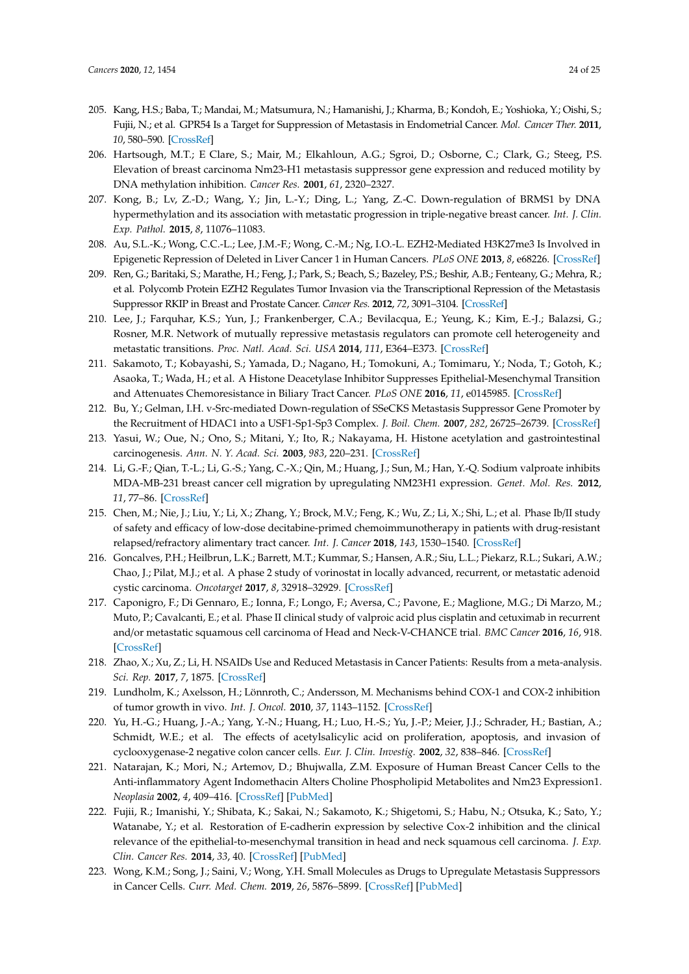- <span id="page-23-0"></span>205. Kang, H.S.; Baba, T.; Mandai, M.; Matsumura, N.; Hamanishi, J.; Kharma, B.; Kondoh, E.; Yoshioka, Y.; Oishi, S.; Fujii, N.; et al. GPR54 Is a Target for Suppression of Metastasis in Endometrial Cancer. *Mol. Cancer Ther.* **2011**, *10*, 580–590. [\[CrossRef\]](http://dx.doi.org/10.1158/1535-7163.MCT-10-0763)
- <span id="page-23-1"></span>206. Hartsough, M.T.; E Clare, S.; Mair, M.; Elkahloun, A.G.; Sgroi, D.; Osborne, C.; Clark, G.; Steeg, P.S. Elevation of breast carcinoma Nm23-H1 metastasis suppressor gene expression and reduced motility by DNA methylation inhibition. *Cancer Res.* **2001**, *61*, 2320–2327.
- <span id="page-23-2"></span>207. Kong, B.; Lv, Z.-D.; Wang, Y.; Jin, L.-Y.; Ding, L.; Yang, Z.-C. Down-regulation of BRMS1 by DNA hypermethylation and its association with metastatic progression in triple-negative breast cancer. *Int. J. Clin. Exp. Pathol.* **2015**, *8*, 11076–11083.
- <span id="page-23-3"></span>208. Au, S.L.-K.; Wong, C.C.-L.; Lee, J.M.-F.; Wong, C.-M.; Ng, I.O.-L. EZH2-Mediated H3K27me3 Is Involved in Epigenetic Repression of Deleted in Liver Cancer 1 in Human Cancers. *PLoS ONE* **2013**, *8*, e68226. [\[CrossRef\]](http://dx.doi.org/10.1371/journal.pone.0068226)
- <span id="page-23-4"></span>209. Ren, G.; Baritaki, S.; Marathe, H.; Feng, J.; Park, S.; Beach, S.; Bazeley, P.S.; Beshir, A.B.; Fenteany, G.; Mehra, R.; et al. Polycomb Protein EZH2 Regulates Tumor Invasion via the Transcriptional Repression of the Metastasis Suppressor RKIP in Breast and Prostate Cancer. *Cancer Res.* **2012**, *72*, 3091–3104. [\[CrossRef\]](http://dx.doi.org/10.1158/0008-5472.CAN-11-3546)
- <span id="page-23-5"></span>210. Lee, J.; Farquhar, K.S.; Yun, J.; Frankenberger, C.A.; Bevilacqua, E.; Yeung, K.; Kim, E.-J.; Balazsi, G.; Rosner, M.R. Network of mutually repressive metastasis regulators can promote cell heterogeneity and metastatic transitions. *Proc. Natl. Acad. Sci. USA* **2014**, *111*, E364–E373. [\[CrossRef\]](http://dx.doi.org/10.1073/pnas.1304840111)
- <span id="page-23-6"></span>211. Sakamoto, T.; Kobayashi, S.; Yamada, D.; Nagano, H.; Tomokuni, A.; Tomimaru, Y.; Noda, T.; Gotoh, K.; Asaoka, T.; Wada, H.; et al. A Histone Deacetylase Inhibitor Suppresses Epithelial-Mesenchymal Transition and Attenuates Chemoresistance in Biliary Tract Cancer. *PLoS ONE* **2016**, *11*, e0145985. [\[CrossRef\]](http://dx.doi.org/10.1371/journal.pone.0145985)
- <span id="page-23-7"></span>212. Bu, Y.; Gelman, I.H. v-Src-mediated Down-regulation of SSeCKS Metastasis Suppressor Gene Promoter by the Recruitment of HDAC1 into a USF1-Sp1-Sp3 Complex. *J. Boil. Chem.* **2007**, *282*, 26725–26739. [\[CrossRef\]](http://dx.doi.org/10.1074/jbc.M702885200)
- 213. Yasui, W.; Oue, N.; Ono, S.; Mitani, Y.; Ito, R.; Nakayama, H. Histone acetylation and gastrointestinal carcinogenesis. *Ann. N. Y. Acad. Sci.* **2003**, *983*, 220–231. [\[CrossRef\]](http://dx.doi.org/10.1111/j.1749-6632.2003.tb05977.x)
- <span id="page-23-8"></span>214. Li, G.-F.; Qian, T.-L.; Li, G.-S.; Yang, C.-X.; Qin, M.; Huang, J.; Sun, M.; Han, Y.-Q. Sodium valproate inhibits MDA-MB-231 breast cancer cell migration by upregulating NM23H1 expression. *Genet. Mol. Res.* **2012**, *11*, 77–86. [\[CrossRef\]](http://dx.doi.org/10.4238/2012.January.13.1)
- <span id="page-23-9"></span>215. Chen, M.; Nie, J.; Liu, Y.; Li, X.; Zhang, Y.; Brock, M.V.; Feng, K.; Wu, Z.; Li, X.; Shi, L.; et al. Phase Ib/II study of safety and efficacy of low-dose decitabine-primed chemoimmunotherapy in patients with drug-resistant relapsed/refractory alimentary tract cancer. *Int. J. Cancer* **2018**, *143*, 1530–1540. [\[CrossRef\]](http://dx.doi.org/10.1002/ijc.31531)
- 216. Goncalves, P.H.; Heilbrun, L.K.; Barrett, M.T.; Kummar, S.; Hansen, A.R.; Siu, L.L.; Piekarz, R.L.; Sukari, A.W.; Chao, J.; Pilat, M.J.; et al. A phase 2 study of vorinostat in locally advanced, recurrent, or metastatic adenoid cystic carcinoma. *Oncotarget* **2017**, *8*, 32918–32929. [\[CrossRef\]](http://dx.doi.org/10.18632/oncotarget.16464)
- <span id="page-23-10"></span>217. Caponigro, F.; Di Gennaro, E.; Ionna, F.; Longo, F.; Aversa, C.; Pavone, E.; Maglione, M.G.; Di Marzo, M.; Muto, P.; Cavalcanti, E.; et al. Phase II clinical study of valproic acid plus cisplatin and cetuximab in recurrent and/or metastatic squamous cell carcinoma of Head and Neck-V-CHANCE trial. *BMC Cancer* **2016**, *16*, 918. [\[CrossRef\]](http://dx.doi.org/10.1186/s12885-016-2957-y)
- <span id="page-23-11"></span>218. Zhao, X.; Xu, Z.; Li, H. NSAIDs Use and Reduced Metastasis in Cancer Patients: Results from a meta-analysis. *Sci. Rep.* **2017**, *7*, 1875. [\[CrossRef\]](http://dx.doi.org/10.1038/s41598-017-01644-0)
- <span id="page-23-12"></span>219. Lundholm, K.; Axelsson, H.; Lönnroth, C.; Andersson, M. Mechanisms behind COX-1 and COX-2 inhibition of tumor growth in vivo. *Int. J. Oncol.* **2010**, *37*, 1143–1152. [\[CrossRef\]](http://dx.doi.org/10.3892/ijo_00000766)
- 220. Yu, H.-G.; Huang, J.-A.; Yang, Y.-N.; Huang, H.; Luo, H.-S.; Yu, J.-P.; Meier, J.J.; Schrader, H.; Bastian, A.; Schmidt, W.E.; et al. The effects of acetylsalicylic acid on proliferation, apoptosis, and invasion of cyclooxygenase-2 negative colon cancer cells. *Eur. J. Clin. Investig.* **2002**, *32*, 838–846. [\[CrossRef\]](http://dx.doi.org/10.1046/j.1365-2362.2002.01080.x)
- <span id="page-23-13"></span>221. Natarajan, K.; Mori, N.; Artemov, D.; Bhujwalla, Z.M. Exposure of Human Breast Cancer Cells to the Anti-inflammatory Agent Indomethacin Alters Choline Phospholipid Metabolites and Nm23 Expression1. *Neoplasia* **2002**, *4*, 409–416. [\[CrossRef\]](http://dx.doi.org/10.1038/sj.neo.7900252) [\[PubMed\]](http://www.ncbi.nlm.nih.gov/pubmed/12192599)
- <span id="page-23-14"></span>222. Fujii, R.; Imanishi, Y.; Shibata, K.; Sakai, N.; Sakamoto, K.; Shigetomi, S.; Habu, N.; Otsuka, K.; Sato, Y.; Watanabe, Y.; et al. Restoration of E-cadherin expression by selective Cox-2 inhibition and the clinical relevance of the epithelial-to-mesenchymal transition in head and neck squamous cell carcinoma. *J. Exp. Clin. Cancer Res.* **2014**, *33*, 40. [\[CrossRef\]](http://dx.doi.org/10.1186/1756-9966-33-40) [\[PubMed\]](http://www.ncbi.nlm.nih.gov/pubmed/24887090)
- <span id="page-23-15"></span>223. Wong, K.M.; Song, J.; Saini, V.; Wong, Y.H. Small Molecules as Drugs to Upregulate Metastasis Suppressors in Cancer Cells. *Curr. Med. Chem.* **2019**, *26*, 5876–5899. [\[CrossRef\]](http://dx.doi.org/10.2174/0929867325666180522090842) [\[PubMed\]](http://www.ncbi.nlm.nih.gov/pubmed/29788870)